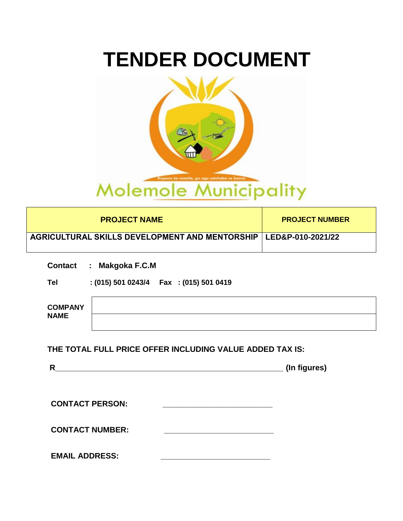# **TENDER DOCUMENT**



| <b>PROJECT NAME</b>                                                      | <b>PROJECT NUMBER</b> |              |
|--------------------------------------------------------------------------|-----------------------|--------------|
| AGRICULTURAL SKILLS DEVELOPMENT AND MENTORSHIP   LED&P-010-2021/22       |                       |              |
| Contact : Makgoka F.C.M                                                  |                       |              |
| $:(015)$ 501 0243/4   Fax $:(015)$ 501 0419<br>Tel                       |                       |              |
| <b>COMPANY</b><br><b>NAME</b>                                            |                       |              |
|                                                                          |                       |              |
| THE TOTAL FULL PRICE OFFER INCLUDING VALUE ADDED TAX IS:<br>$\mathsf{R}$ |                       | (In figures) |
|                                                                          |                       |              |
| <b>CONTACT PERSON:</b>                                                   |                       |              |
| <b>CONTACT NUMBER:</b>                                                   |                       |              |
| <b>EMAIL ADDRESS:</b>                                                    |                       |              |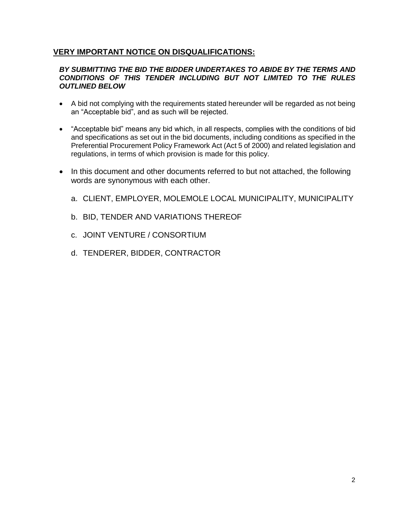## **VERY IMPORTANT NOTICE ON DISQUALIFICATIONS:**

#### *BY SUBMITTING THE BID THE BIDDER UNDERTAKES TO ABIDE BY THE TERMS AND CONDITIONS OF THIS TENDER INCLUDING BUT NOT LIMITED TO THE RULES OUTLINED BELOW*

- A bid not complying with the requirements stated hereunder will be regarded as not being an "Acceptable bid", and as such will be rejected.
- "Acceptable bid" means any bid which, in all respects, complies with the conditions of bid and specifications as set out in the bid documents, including conditions as specified in the Preferential Procurement Policy Framework Act (Act 5 of 2000) and related legislation and regulations, in terms of which provision is made for this policy.
- In this document and other documents referred to but not attached, the following words are synonymous with each other.
	- a. CLIENT, EMPLOYER, MOLEMOLE LOCAL MUNICIPALITY, MUNICIPALITY
	- b. BID, TENDER AND VARIATIONS THEREOF
	- c. JOINT VENTURE / CONSORTIUM
	- d. TENDERER, BIDDER, CONTRACTOR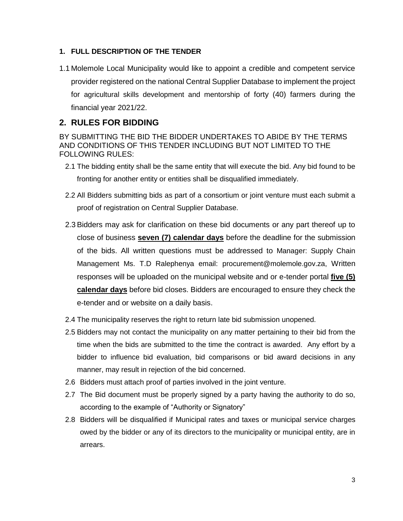## **1. FULL DESCRIPTION OF THE TENDER**

1.1 Molemole Local Municipality would like to appoint a credible and competent service provider registered on the national Central Supplier Database to implement the project for agricultural skills development and mentorship of forty (40) farmers during the financial year 2021/22.

## **2. RULES FOR BIDDING**

BY SUBMITTING THE BID THE BIDDER UNDERTAKES TO ABIDE BY THE TERMS AND CONDITIONS OF THIS TENDER INCLUDING BUT NOT LIMITED TO THE FOLLOWING RULES:

- 2.1 The bidding entity shall be the same entity that will execute the bid. Any bid found to be fronting for another entity or entities shall be disqualified immediately.
- 2.2 All Bidders submitting bids as part of a consortium or joint venture must each submit a proof of registration on Central Supplier Database.
- 2.3 Bidders may ask for clarification on these bid documents or any part thereof up to close of business **seven (7) calendar days** before the deadline for the submission of the bids. All written questions must be addressed to Manager: Supply Chain Management Ms. T.D Ralephenya email: [procurement@molemole.gov.za,](mailto:procurement@molemole.gov.za) Written responses will be uploaded on the municipal website and or e-tender portal **five (5) calendar days** before bid closes. Bidders are encouraged to ensure they check the e-tender and or website on a daily basis.
- 2.4 The municipality reserves the right to return late bid submission unopened.
- 2.5 Bidders may not contact the municipality on any matter pertaining to their bid from the time when the bids are submitted to the time the contract is awarded. Any effort by a bidder to influence bid evaluation, bid comparisons or bid award decisions in any manner, may result in rejection of the bid concerned.
- 2.6 Bidders must attach proof of parties involved in the joint venture.
- 2.7 The Bid document must be properly signed by a party having the authority to do so, according to the example of "Authority or Signatory"
- 2.8 Bidders will be disqualified if Municipal rates and taxes or municipal service charges owed by the bidder or any of its directors to the municipality or municipal entity, are in arrears.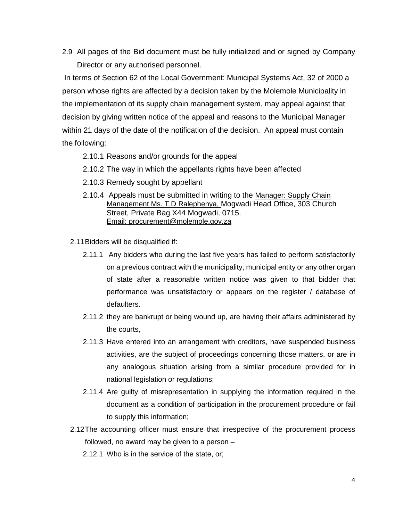2.9 All pages of the Bid document must be fully initialized and or signed by Company Director or any authorised personnel.

In terms of Section 62 of the Local Government: Municipal Systems Act, 32 of 2000 a person whose rights are affected by a decision taken by the Molemole Municipality in the implementation of its supply chain management system, may appeal against that decision by giving written notice of the appeal and reasons to the Municipal Manager within 21 days of the date of the notification of the decision. An appeal must contain the following:

#### 2.10.1 Reasons and/or grounds for the appeal

- 2.10.2 The way in which the appellants rights have been affected
- 2.10.3 Remedy sought by appellant
- 2.10.4 Appeals must be submitted in writing to the Manager: Supply Chain Management Ms. T.D Ralephenya, Mogwadi Head Office, 303 Church Street, Private Bag X44 Mogwadi, 0715. Email: procurement@molemole.gov.za
- 2.11Bidders will be disqualified if:
	- 2.11.1 Any bidders who during the last five years has failed to perform satisfactorily on a previous contract with the municipality, municipal entity or any other organ of state after a reasonable written notice was given to that bidder that performance was unsatisfactory or appears on the register / database of defaulters.
	- 2.11.2 they are bankrupt or being wound up, are having their affairs administered by the courts,
	- 2.11.3 Have entered into an arrangement with creditors, have suspended business activities, are the subject of proceedings concerning those matters, or are in any analogous situation arising from a similar procedure provided for in national legislation or regulations;
	- 2.11.4 Are guilty of misrepresentation in supplying the information required in the document as a condition of participation in the procurement procedure or fail to supply this information;
- 2.12The accounting officer must ensure that irrespective of the procurement process followed, no award may be given to a person –
	- 2.12.1 Who is in the service of the state, or;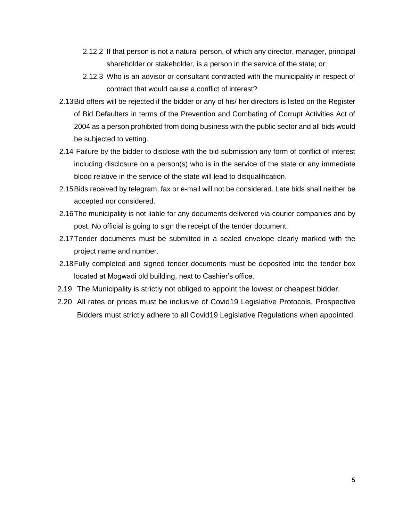- 2.12.2 If that person is not a natural person, of which any director, manager, principal shareholder or stakeholder, is a person in the service of the state; or;
- 2.12.3 Who is an advisor or consultant contracted with the municipality in respect of contract that would cause a conflict of interest?
- 2.13Bid offers will be rejected if the bidder or any of his/ her directors is listed on the Register of Bid Defaulters in terms of the Prevention and Combating of Corrupt Activities Act of 2004 as a person prohibited from doing business with the public sector and all bids would be subjected to vetting.
- 2.14 Failure by the bidder to disclose with the bid submission any form of conflict of interest including disclosure on a person(s) who is in the service of the state or any immediate blood relative in the service of the state will lead to disqualification.
- 2.15Bids received by telegram, fax or e-mail will not be considered. Late bids shall neither be accepted nor considered.
- 2.16The municipality is not liable for any documents delivered via courier companies and by post. No official is going to sign the receipt of the tender document.
- 2.17Tender documents must be submitted in a sealed envelope clearly marked with the project name and number.
- 2.18Fully completed and signed tender documents must be deposited into the tender box located at Mogwadi old building, next to Cashier's office.
- 2.19 The Municipality is strictly not obliged to appoint the lowest or cheapest bidder.
- 2.20 All rates or prices must be inclusive of Covid19 Legislative Protocols, Prospective Bidders must strictly adhere to all Covid19 Legislative Regulations when appointed.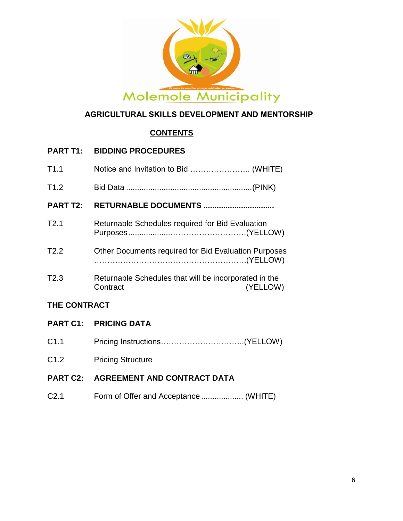

## **AGRICULTURAL SKILLS DEVELOPMENT AND MENTORSHIP**

## **CONTENTS**

## **PART T1: BIDDING PROCEDURES** T1.1 Notice and Invitation to Bid ………………….. (WHITE) T1.2 Bid Data .........................................................(PINK) **PART T2: RETURNABLE DOCUMENTS ................................** T2.1 Returnable Schedules required for Bid Evaluation Purposes....................……………………….(YELLOW) T2.2 Other Documents required for Bid Evaluation Purposes ………………………………………………….(YELLOW)

T2.3 Returnable Schedules that will be incorporated in the Contract (YELLOW)

## **THE CONTRACT**

- **PART C1: PRICING DATA**
- C1.1 Pricing Instructions…………………………..(YELLOW)
- C1.2 Pricing Structure

## **PART C2: AGREEMENT AND CONTRACT DATA**

C2.1 Form of Offer and Acceptance ................... (WHITE)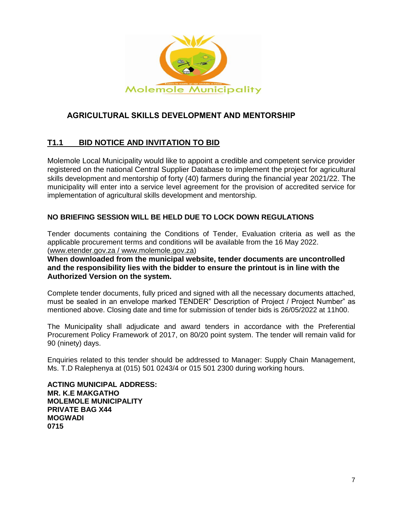

## **AGRICULTURAL SKILLS DEVELOPMENT AND MENTORSHIP**

## **T1.1 BID NOTICE AND INVITATION TO BID**

Molemole Local Municipality would like to appoint a credible and competent service provider registered on the national Central Supplier Database to implement the project for agricultural skills development and mentorship of forty (40) farmers during the financial year 2021/22. The municipality will enter into a service level agreement for the provision of accredited service for implementation of agricultural skills development and mentorship.

#### **NO BRIEFING SESSION WILL BE HELD DUE TO LOCK DOWN REGULATIONS**

Tender documents containing the Conditions of Tender, Evaluation criteria as well as the applicable procurement terms and conditions will be available from the 16 May 2022. [\(www.etender.gov.za](http://www.etender.gov.za/) / www.molemole.gov.za)

**When downloaded from the municipal website, tender documents are uncontrolled and the responsibility lies with the bidder to ensure the printout is in line with the Authorized Version on the system.**

Complete tender documents, fully priced and signed with all the necessary documents attached, must be sealed in an envelope marked TENDER" Description of Project / Project Number" as mentioned above. Closing date and time for submission of tender bids is 26/05/2022 at 11h00.

The Municipality shall adjudicate and award tenders in accordance with the Preferential Procurement Policy Framework of 2017, on 80/20 point system. The tender will remain valid for 90 (ninety) days.

Enquiries related to this tender should be addressed to Manager: Supply Chain Management, Ms. T.D Ralephenya at (015) 501 0243/4 or 015 501 2300 during working hours.

**ACTING MUNICIPAL ADDRESS: MR. K.E MAKGATHO MOLEMOLE MUNICIPALITY PRIVATE BAG X44 MOGWADI 0715**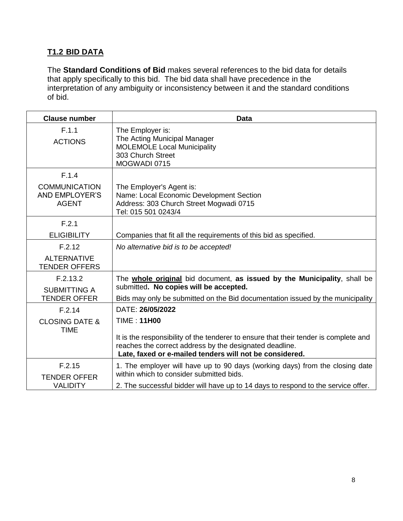## **T1.2 BID DATA**

The **Standard Conditions of Bid** makes several references to the bid data for details that apply specifically to this bid. The bid data shall have precedence in the interpretation of any ambiguity or inconsistency between it and the standard conditions of bid.

| <b>Clause number</b>                                                   | <b>Data</b>                                                                                                                                                                                                                                          |
|------------------------------------------------------------------------|------------------------------------------------------------------------------------------------------------------------------------------------------------------------------------------------------------------------------------------------------|
| F.1.1<br><b>ACTIONS</b>                                                | The Employer is:<br>The Acting Municipal Manager<br><b>MOLEMOLE Local Municipality</b><br>303 Church Street<br>MOGWADI 0715                                                                                                                          |
| F.1.4<br><b>COMMUNICATION</b><br><b>AND EMPLOYER'S</b><br><b>AGENT</b> | The Employer's Agent is:<br>Name: Local Economic Development Section<br>Address: 303 Church Street Mogwadi 0715<br>Tel: 015 501 0243/4                                                                                                               |
| F.2.1<br><b>ELIGIBILITY</b>                                            | Companies that fit all the requirements of this bid as specified.                                                                                                                                                                                    |
| F.2.12<br><b>ALTERNATIVE</b><br><b>TENDER OFFERS</b>                   | No alternative bid is to be accepted!                                                                                                                                                                                                                |
| F.2.13.2<br><b>SUBMITTING A</b><br><b>TENDER OFFER</b>                 | The whole original bid document, as issued by the Municipality, shall be<br>submitted. No copies will be accepted.<br>Bids may only be submitted on the Bid documentation issued by the municipality                                                 |
| F.2.14<br><b>CLOSING DATE &amp;</b><br><b>TIME</b>                     | DATE: 26/05/2022<br><b>TIME: 11H00</b><br>It is the responsibility of the tenderer to ensure that their tender is complete and<br>reaches the correct address by the designated deadline.<br>Late, faxed or e-mailed tenders will not be considered. |
| F.2.15<br><b>TENDER OFFER</b><br><b>VALIDITY</b>                       | 1. The employer will have up to 90 days (working days) from the closing date<br>within which to consider submitted bids.<br>2. The successful bidder will have up to 14 days to respond to the service offer.                                        |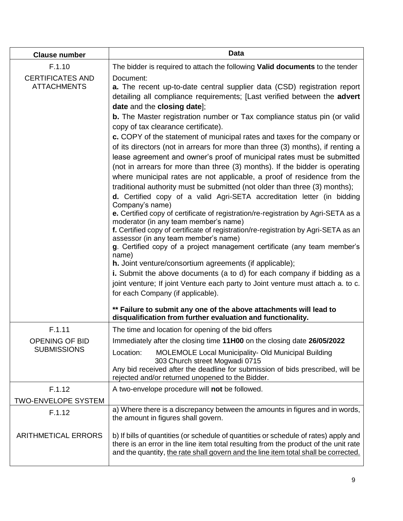| <b>Clause number</b>                          | <b>Data</b>                                                                                                                                                                                                                                                                                                                                                                                                                                                                                                                                                                                                                                                                                                                                                                                                                                                                                                                                                                                                                                                                                                                                                                                                                                                                                                                                                                                                                                                                                                                       |
|-----------------------------------------------|-----------------------------------------------------------------------------------------------------------------------------------------------------------------------------------------------------------------------------------------------------------------------------------------------------------------------------------------------------------------------------------------------------------------------------------------------------------------------------------------------------------------------------------------------------------------------------------------------------------------------------------------------------------------------------------------------------------------------------------------------------------------------------------------------------------------------------------------------------------------------------------------------------------------------------------------------------------------------------------------------------------------------------------------------------------------------------------------------------------------------------------------------------------------------------------------------------------------------------------------------------------------------------------------------------------------------------------------------------------------------------------------------------------------------------------------------------------------------------------------------------------------------------------|
| F.1.10                                        | The bidder is required to attach the following Valid documents to the tender                                                                                                                                                                                                                                                                                                                                                                                                                                                                                                                                                                                                                                                                                                                                                                                                                                                                                                                                                                                                                                                                                                                                                                                                                                                                                                                                                                                                                                                      |
| <b>CERTIFICATES AND</b><br><b>ATTACHMENTS</b> | Document:<br><b>a.</b> The recent up-to-date central supplier data (CSD) registration report<br>detailing all compliance requirements; [Last verified between the advert<br>date and the closing date];<br><b>b.</b> The Master registration number or Tax compliance status pin (or valid<br>copy of tax clearance certificate).<br>c. COPY of the statement of municipal rates and taxes for the company or<br>of its directors (not in arrears for more than three (3) months), if renting a<br>lease agreement and owner's proof of municipal rates must be submitted<br>(not in arrears for more than three (3) months). If the bidder is operating<br>where municipal rates are not applicable, a proof of residence from the<br>traditional authority must be submitted (not older than three (3) months);<br>d. Certified copy of a valid Agri-SETA accreditation letter (in bidding<br>Company's name)<br>e. Certified copy of certificate of registration/re-registration by Agri-SETA as a<br>moderator (in any team member's name)<br>f. Certified copy of certificate of registration/re-registration by Agri-SETA as an<br>assessor (in any team member's name)<br>g. Certified copy of a project management certificate (any team member's<br>name)<br>h. Joint venture/consortium agreements (if applicable);<br>i. Submit the above documents (a to d) for each company if bidding as a<br>joint venture; If joint Venture each party to Joint venture must attach a. to c.<br>for each Company (if applicable). |
|                                               | ** Failure to submit any one of the above attachments will lead to<br>disqualification from further evaluation and functionality.                                                                                                                                                                                                                                                                                                                                                                                                                                                                                                                                                                                                                                                                                                                                                                                                                                                                                                                                                                                                                                                                                                                                                                                                                                                                                                                                                                                                 |
| F.1.11                                        | The time and location for opening of the bid offers                                                                                                                                                                                                                                                                                                                                                                                                                                                                                                                                                                                                                                                                                                                                                                                                                                                                                                                                                                                                                                                                                                                                                                                                                                                                                                                                                                                                                                                                               |
| <b>OPENING OF BID</b>                         | Immediately after the closing time 11H00 on the closing date 26/05/2022                                                                                                                                                                                                                                                                                                                                                                                                                                                                                                                                                                                                                                                                                                                                                                                                                                                                                                                                                                                                                                                                                                                                                                                                                                                                                                                                                                                                                                                           |
| <b>SUBMISSIONS</b>                            | Location:<br><b>MOLEMOLE Local Municipality- Old Municipal Building</b><br>303 Church street Mogwadi 0715<br>Any bid received after the deadline for submission of bids prescribed, will be<br>rejected and/or returned unopened to the Bidder.                                                                                                                                                                                                                                                                                                                                                                                                                                                                                                                                                                                                                                                                                                                                                                                                                                                                                                                                                                                                                                                                                                                                                                                                                                                                                   |
| F.1.12                                        | A two-envelope procedure will not be followed.                                                                                                                                                                                                                                                                                                                                                                                                                                                                                                                                                                                                                                                                                                                                                                                                                                                                                                                                                                                                                                                                                                                                                                                                                                                                                                                                                                                                                                                                                    |
| <b>TWO-ENVELOPE SYSTEM</b>                    |                                                                                                                                                                                                                                                                                                                                                                                                                                                                                                                                                                                                                                                                                                                                                                                                                                                                                                                                                                                                                                                                                                                                                                                                                                                                                                                                                                                                                                                                                                                                   |
| F.1.12                                        | a) Where there is a discrepancy between the amounts in figures and in words,<br>the amount in figures shall govern.                                                                                                                                                                                                                                                                                                                                                                                                                                                                                                                                                                                                                                                                                                                                                                                                                                                                                                                                                                                                                                                                                                                                                                                                                                                                                                                                                                                                               |
| <b>ARITHMETICAL ERRORS</b>                    | b) If bills of quantities (or schedule of quantities or schedule of rates) apply and<br>there is an error in the line item total resulting from the product of the unit rate<br>and the quantity, the rate shall govern and the line item total shall be corrected.                                                                                                                                                                                                                                                                                                                                                                                                                                                                                                                                                                                                                                                                                                                                                                                                                                                                                                                                                                                                                                                                                                                                                                                                                                                               |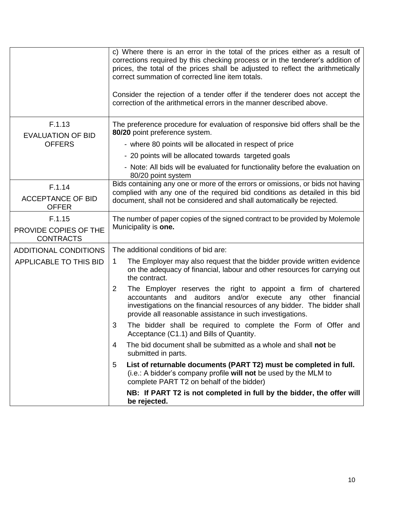|                                           | c) Where there is an error in the total of the prices either as a result of<br>corrections required by this checking process or in the tenderer's addition of<br>prices, the total of the prices shall be adjusted to reflect the arithmetically<br>correct summation of corrected line item totals.<br>Consider the rejection of a tender offer if the tenderer does not accept the<br>correction of the arithmetical errors in the manner described above. |
|-------------------------------------------|--------------------------------------------------------------------------------------------------------------------------------------------------------------------------------------------------------------------------------------------------------------------------------------------------------------------------------------------------------------------------------------------------------------------------------------------------------------|
| F.1.13<br><b>EVALUATION OF BID</b>        | The preference procedure for evaluation of responsive bid offers shall be the<br>80/20 point preference system.                                                                                                                                                                                                                                                                                                                                              |
| <b>OFFERS</b>                             | - where 80 points will be allocated in respect of price                                                                                                                                                                                                                                                                                                                                                                                                      |
|                                           | - 20 points will be allocated towards targeted goals                                                                                                                                                                                                                                                                                                                                                                                                         |
|                                           | - Note: All bids will be evaluated for functionality before the evaluation on<br>80/20 point system                                                                                                                                                                                                                                                                                                                                                          |
| F.1.14                                    | Bids containing any one or more of the errors or omissions, or bids not having                                                                                                                                                                                                                                                                                                                                                                               |
| <b>ACCEPTANCE OF BID</b><br><b>OFFER</b>  | complied with any one of the required bid conditions as detailed in this bid<br>document, shall not be considered and shall automatically be rejected.                                                                                                                                                                                                                                                                                                       |
| F.1.15                                    | The number of paper copies of the signed contract to be provided by Molemole                                                                                                                                                                                                                                                                                                                                                                                 |
| PROVIDE COPIES OF THE<br><b>CONTRACTS</b> | Municipality is one.                                                                                                                                                                                                                                                                                                                                                                                                                                         |
| <b>ADDITIONAL CONDITIONS</b>              | The additional conditions of bid are:                                                                                                                                                                                                                                                                                                                                                                                                                        |
| APPLICABLE TO THIS BID                    | The Employer may also request that the bidder provide written evidence<br>1<br>on the adequacy of financial, labour and other resources for carrying out<br>the contract.                                                                                                                                                                                                                                                                                    |
|                                           | The Employer reserves the right to appoint a firm of chartered<br>2<br>accountants and auditors and/or execute any other financial<br>investigations on the financial resources of any bidder. The bidder shall<br>provide all reasonable assistance in such investigations.                                                                                                                                                                                 |
|                                           | The bidder shall be required to complete the Form of Offer and<br>3<br>Acceptance (C1.1) and Bills of Quantity.                                                                                                                                                                                                                                                                                                                                              |
|                                           | The bid document shall be submitted as a whole and shall not be<br>4<br>submitted in parts.                                                                                                                                                                                                                                                                                                                                                                  |
|                                           | List of returnable documents (PART T2) must be completed in full.<br>5<br>(i.e.: A bidder's company profile will not be used by the MLM to<br>complete PART T2 on behalf of the bidder)                                                                                                                                                                                                                                                                      |
|                                           | NB: If PART T2 is not completed in full by the bidder, the offer will<br>be rejected.                                                                                                                                                                                                                                                                                                                                                                        |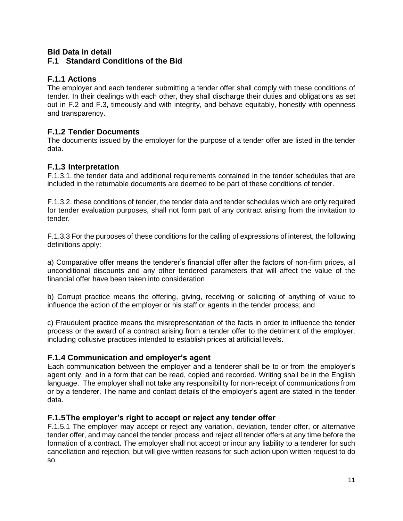#### **Bid Data in detail F.1 Standard Conditions of the Bid**

## **F.1.1 Actions**

The employer and each tenderer submitting a tender offer shall comply with these conditions of tender. In their dealings with each other, they shall discharge their duties and obligations as set out in F.2 and F.3, timeously and with integrity, and behave equitably, honestly with openness and transparency.

## **F.1.2 Tender Documents**

The documents issued by the employer for the purpose of a tender offer are listed in the tender data.

## **F.1.3 Interpretation**

F.1.3.1. the tender data and additional requirements contained in the tender schedules that are included in the returnable documents are deemed to be part of these conditions of tender.

F.1.3.2. these conditions of tender, the tender data and tender schedules which are only required for tender evaluation purposes, shall not form part of any contract arising from the invitation to tender.

F.1.3.3 For the purposes of these conditions for the calling of expressions of interest, the following definitions apply:

a) Comparative offer means the tenderer's financial offer after the factors of non-firm prices, all unconditional discounts and any other tendered parameters that will affect the value of the financial offer have been taken into consideration

b) Corrupt practice means the offering, giving, receiving or soliciting of anything of value to influence the action of the employer or his staff or agents in the tender process; and

c) Fraudulent practice means the misrepresentation of the facts in order to influence the tender process or the award of a contract arising from a tender offer to the detriment of the employer, including collusive practices intended to establish prices at artificial levels.

## **F.1.4 Communication and employer's agent**

Each communication between the employer and a tenderer shall be to or from the employer's agent only, and in a form that can be read, copied and recorded. Writing shall be in the English language. The employer shall not take any responsibility for non-receipt of communications from or by a tenderer. The name and contact details of the employer's agent are stated in the tender data.

## **F.1.5The employer's right to accept or reject any tender offer**

F.1.5.1 The employer may accept or reject any variation, deviation, tender offer, or alternative tender offer, and may cancel the tender process and reject all tender offers at any time before the formation of a contract. The employer shall not accept or incur any liability to a tenderer for such cancellation and rejection, but will give written reasons for such action upon written request to do so.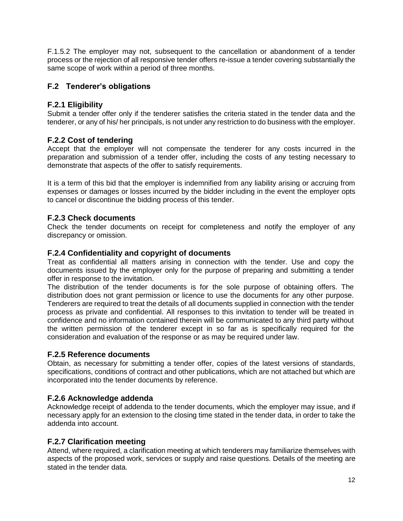F.1.5.2 The employer may not, subsequent to the cancellation or abandonment of a tender process or the rejection of all responsive tender offers re-issue a tender covering substantially the same scope of work within a period of three months.

## **F.2 Tenderer's obligations**

## **F.2.1 Eligibility**

Submit a tender offer only if the tenderer satisfies the criteria stated in the tender data and the tenderer, or any of his/ her principals, is not under any restriction to do business with the employer.

## **F.2.2 Cost of tendering**

Accept that the employer will not compensate the tenderer for any costs incurred in the preparation and submission of a tender offer, including the costs of any testing necessary to demonstrate that aspects of the offer to satisfy requirements.

It is a term of this bid that the employer is indemnified from any liability arising or accruing from expenses or damages or losses incurred by the bidder including in the event the employer opts to cancel or discontinue the bidding process of this tender.

## **F.2.3 Check documents**

Check the tender documents on receipt for completeness and notify the employer of any discrepancy or omission.

## **F.2.4 Confidentiality and copyright of documents**

Treat as confidential all matters arising in connection with the tender. Use and copy the documents issued by the employer only for the purpose of preparing and submitting a tender offer in response to the invitation.

The distribution of the tender documents is for the sole purpose of obtaining offers. The distribution does not grant permission or licence to use the documents for any other purpose. Tenderers are required to treat the details of all documents supplied in connection with the tender process as private and confidential. All responses to this invitation to tender will be treated in confidence and no information contained therein will be communicated to any third party without the written permission of the tenderer except in so far as is specifically required for the consideration and evaluation of the response or as may be required under law.

## **F.2.5 Reference documents**

Obtain, as necessary for submitting a tender offer, copies of the latest versions of standards, specifications, conditions of contract and other publications, which are not attached but which are incorporated into the tender documents by reference.

## **F.2.6 Acknowledge addenda**

Acknowledge receipt of addenda to the tender documents, which the employer may issue, and if necessary apply for an extension to the closing time stated in the tender data, in order to take the addenda into account.

## **F.2.7 Clarification meeting**

Attend, where required, a clarification meeting at which tenderers may familiarize themselves with aspects of the proposed work, services or supply and raise questions. Details of the meeting are stated in the tender data.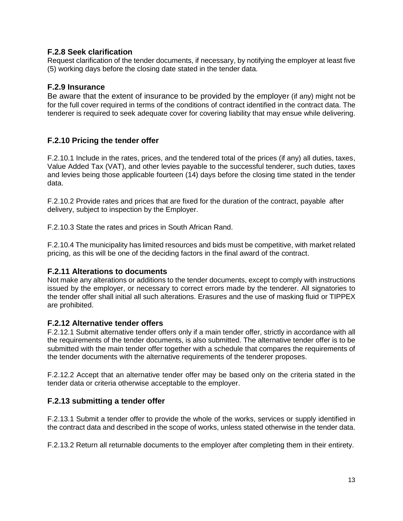#### **F.2.8 Seek clarification**

Request clarification of the tender documents, if necessary, by notifying the employer at least five (5) working days before the closing date stated in the tender data.

#### **F.2.9 Insurance**

Be aware that the extent of insurance to be provided by the employer (if any) might not be for the full cover required in terms of the conditions of contract identified in the contract data. The tenderer is required to seek adequate cover for covering liability that may ensue while delivering.

## **F.2.10 Pricing the tender offer**

F.2.10.1 Include in the rates, prices, and the tendered total of the prices (if any) all duties, taxes, Value Added Tax (VAT), and other levies payable to the successful tenderer, such duties, taxes and levies being those applicable fourteen (14) days before the closing time stated in the tender data.

F.2.10.2 Provide rates and prices that are fixed for the duration of the contract, payable after delivery, subject to inspection by the Employer.

F.2.10.3 State the rates and prices in South African Rand.

F.2.10.4 The municipality has limited resources and bids must be competitive, with market related pricing, as this will be one of the deciding factors in the final award of the contract.

#### **F.2.11 Alterations to documents**

Not make any alterations or additions to the tender documents, except to comply with instructions issued by the employer, or necessary to correct errors made by the tenderer. All signatories to the tender offer shall initial all such alterations. Erasures and the use of masking fluid or TIPPEX are prohibited.

#### **F.2.12 Alternative tender offers**

F.2.12.1 Submit alternative tender offers only if a main tender offer, strictly in accordance with all the requirements of the tender documents, is also submitted. The alternative tender offer is to be submitted with the main tender offer together with a schedule that compares the requirements of the tender documents with the alternative requirements of the tenderer proposes.

F.2.12.2 Accept that an alternative tender offer may be based only on the criteria stated in the tender data or criteria otherwise acceptable to the employer.

## **F.2.13 submitting a tender offer**

F.2.13.1 Submit a tender offer to provide the whole of the works, services or supply identified in the contract data and described in the scope of works, unless stated otherwise in the tender data.

F.2.13.2 Return all returnable documents to the employer after completing them in their entirety.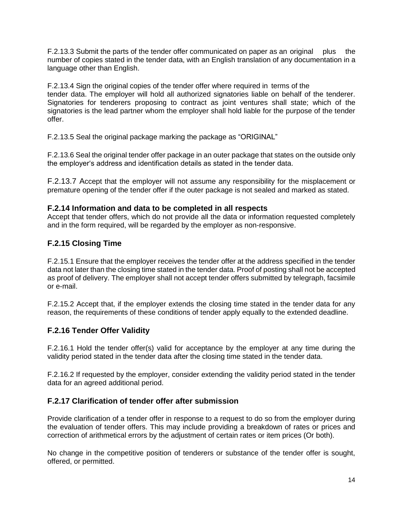F.2.13.3 Submit the parts of the tender offer communicated on paper as an original plus the number of copies stated in the tender data, with an English translation of any documentation in a language other than English.

F.2.13.4 Sign the original copies of the tender offer where required in terms of the tender data. The employer will hold all authorized signatories liable on behalf of the tenderer. Signatories for tenderers proposing to contract as joint ventures shall state; which of the signatories is the lead partner whom the employer shall hold liable for the purpose of the tender offer.

F.2.13.5 Seal the original package marking the package as "ORIGINAL"

F.2.13.6 Seal the original tender offer package in an outer package that states on the outside only the employer's address and identification details as stated in the tender data.

F.2.13.7 Accept that the employer will not assume any responsibility for the misplacement or premature opening of the tender offer if the outer package is not sealed and marked as stated.

#### **F.2.14 Information and data to be completed in all respects**

Accept that tender offers, which do not provide all the data or information requested completely and in the form required, will be regarded by the employer as non-responsive.

## **F.2.15 Closing Time**

F.2.15.1 Ensure that the employer receives the tender offer at the address specified in the tender data not later than the closing time stated in the tender data. Proof of posting shall not be accepted as proof of delivery. The employer shall not accept tender offers submitted by telegraph, facsimile or e-mail.

F.2.15.2 Accept that, if the employer extends the closing time stated in the tender data for any reason, the requirements of these conditions of tender apply equally to the extended deadline.

## **F.2.16 Tender Offer Validity**

F.2.16.1 Hold the tender offer(s) valid for acceptance by the employer at any time during the validity period stated in the tender data after the closing time stated in the tender data.

F.2.16.2 If requested by the employer, consider extending the validity period stated in the tender data for an agreed additional period.

## **F.2.17 Clarification of tender offer after submission**

Provide clarification of a tender offer in response to a request to do so from the employer during the evaluation of tender offers. This may include providing a breakdown of rates or prices and correction of arithmetical errors by the adjustment of certain rates or item prices (Or both).

No change in the competitive position of tenderers or substance of the tender offer is sought, offered, or permitted.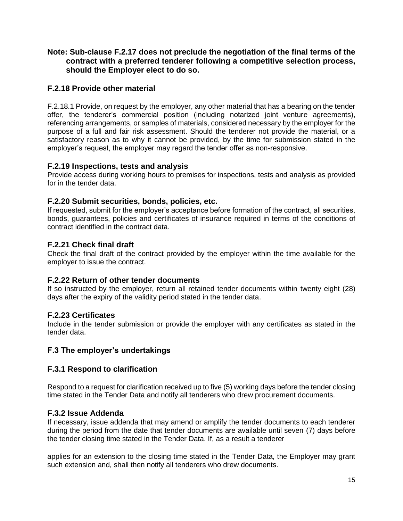#### **Note: Sub-clause F.2.17 does not preclude the negotiation of the final terms of the contract with a preferred tenderer following a competitive selection process, should the Employer elect to do so.**

## **F.2.18 Provide other material**

F.2.18.1 Provide, on request by the employer, any other material that has a bearing on the tender offer, the tenderer's commercial position (including notarized joint venture agreements), referencing arrangements, or samples of materials, considered necessary by the employer for the purpose of a full and fair risk assessment. Should the tenderer not provide the material, or a satisfactory reason as to why it cannot be provided, by the time for submission stated in the employer's request, the employer may regard the tender offer as non-responsive.

## **F.2.19 Inspections, tests and analysis**

Provide access during working hours to premises for inspections, tests and analysis as provided for in the tender data.

## **F.2.20 Submit securities, bonds, policies, etc.**

If requested, submit for the employer's acceptance before formation of the contract, all securities, bonds, guarantees, policies and certificates of insurance required in terms of the conditions of contract identified in the contract data.

## **F.2.21 Check final draft**

Check the final draft of the contract provided by the employer within the time available for the employer to issue the contract.

## **F.2.22 Return of other tender documents**

If so instructed by the employer, return all retained tender documents within twenty eight (28) days after the expiry of the validity period stated in the tender data.

## **F.2.23 Certificates**

Include in the tender submission or provide the employer with any certificates as stated in the tender data.

## **F.3 The employer's undertakings**

## **F.3.1 Respond to clarification**

Respond to a request for clarification received up to five (5) working days before the tender closing time stated in the Tender Data and notify all tenderers who drew procurement documents.

## **F.3.2 Issue Addenda**

If necessary, issue addenda that may amend or amplify the tender documents to each tenderer during the period from the date that tender documents are available until seven (7) days before the tender closing time stated in the Tender Data. If, as a result a tenderer

applies for an extension to the closing time stated in the Tender Data, the Employer may grant such extension and, shall then notify all tenderers who drew documents.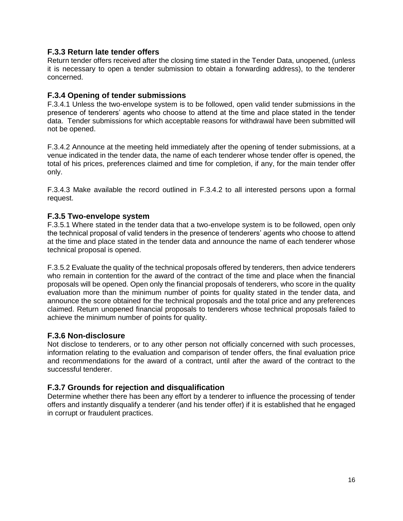#### **F.3.3 Return late tender offers**

Return tender offers received after the closing time stated in the Tender Data, unopened, (unless it is necessary to open a tender submission to obtain a forwarding address), to the tenderer concerned.

#### **F.3.4 Opening of tender submissions**

F.3.4.1 Unless the two-envelope system is to be followed, open valid tender submissions in the presence of tenderers' agents who choose to attend at the time and place stated in the tender data. Tender submissions for which acceptable reasons for withdrawal have been submitted will not be opened.

F.3.4.2 Announce at the meeting held immediately after the opening of tender submissions, at a venue indicated in the tender data, the name of each tenderer whose tender offer is opened, the total of his prices, preferences claimed and time for completion, if any, for the main tender offer only.

F.3.4.3 Make available the record outlined in F.3.4.2 to all interested persons upon a formal request.

#### **F.3.5 Two-envelope system**

F.3.5.1 Where stated in the tender data that a two-envelope system is to be followed, open only the technical proposal of valid tenders in the presence of tenderers' agents who choose to attend at the time and place stated in the tender data and announce the name of each tenderer whose technical proposal is opened.

F.3.5.2 Evaluate the quality of the technical proposals offered by tenderers, then advice tenderers who remain in contention for the award of the contract of the time and place when the financial proposals will be opened. Open only the financial proposals of tenderers, who score in the quality evaluation more than the minimum number of points for quality stated in the tender data, and announce the score obtained for the technical proposals and the total price and any preferences claimed. Return unopened financial proposals to tenderers whose technical proposals failed to achieve the minimum number of points for quality.

#### **F.3.6 Non-disclosure**

Not disclose to tenderers, or to any other person not officially concerned with such processes, information relating to the evaluation and comparison of tender offers, the final evaluation price and recommendations for the award of a contract, until after the award of the contract to the successful tenderer.

#### **F.3.7 Grounds for rejection and disqualification**

Determine whether there has been any effort by a tenderer to influence the processing of tender offers and instantly disqualify a tenderer (and his tender offer) if it is established that he engaged in corrupt or fraudulent practices.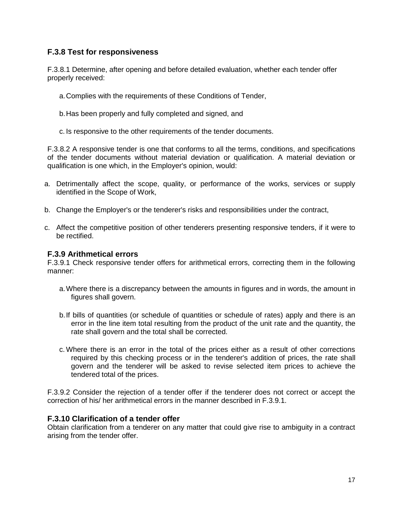## **F.3.8 Test for responsiveness**

F.3.8.1 Determine, after opening and before detailed evaluation, whether each tender offer properly received:

a.Complies with the requirements of these Conditions of Tender,

b.Has been properly and fully completed and signed, and

c. Is responsive to the other requirements of the tender documents.

F.3.8.2 A responsive tender is one that conforms to all the terms, conditions, and specifications of the tender documents without material deviation or qualification. A material deviation or qualification is one which, in the Employer's opinion, would:

- a. Detrimentally affect the scope, quality, or performance of the works, services or supply identified in the Scope of Work,
- b. Change the Employer's or the tenderer's risks and responsibilities under the contract,
- c. Affect the competitive position of other tenderers presenting responsive tenders, if it were to be rectified.

#### **F.3.9 Arithmetical errors**

F.3.9.1 Check responsive tender offers for arithmetical errors, correcting them in the following manner:

- a.Where there is a discrepancy between the amounts in figures and in words, the amount in figures shall govern.
- b.If bills of quantities (or schedule of quantities or schedule of rates) apply and there is an error in the line item total resulting from the product of the unit rate and the quantity, the rate shall govern and the total shall be corrected.
- c.Where there is an error in the total of the prices either as a result of other corrections required by this checking process or in the tenderer's addition of prices, the rate shall govern and the tenderer will be asked to revise selected item prices to achieve the tendered total of the prices.

F.3.9.2 Consider the rejection of a tender offer if the tenderer does not correct or accept the correction of his/ her arithmetical errors in the manner described in F.3.9.1.

#### **F.3.10 Clarification of a tender offer**

Obtain clarification from a tenderer on any matter that could give rise to ambiguity in a contract arising from the tender offer.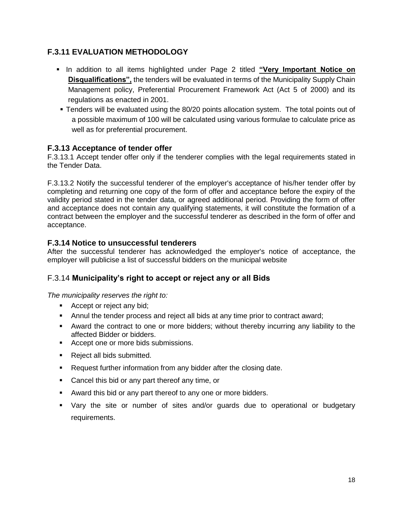## **F.3.11 EVALUATION METHODOLOGY**

- **In addition to all items highlighted under Page 2 titled "Very Important Notice on Disqualifications",** the tenders will be evaluated in terms of the Municipality Supply Chain Management policy, Preferential Procurement Framework Act (Act 5 of 2000) and its regulations as enacted in 2001.
- Tenders will be evaluated using the 80/20 points allocation system. The total points out of a possible maximum of 100 will be calculated using various formulae to calculate price as well as for preferential procurement.

## **F.3.13 Acceptance of tender offer**

F.3.13.1 Accept tender offer only if the tenderer complies with the legal requirements stated in the Tender Data.

F.3.13.2 Notify the successful tenderer of the employer's acceptance of his/her tender offer by completing and returning one copy of the form of offer and acceptance before the expiry of the validity period stated in the tender data, or agreed additional period. Providing the form of offer and acceptance does not contain any qualifying statements, it will constitute the formation of a contract between the employer and the successful tenderer as described in the form of offer and acceptance.

## **F.3.14 Notice to unsuccessful tenderers**

After the successful tenderer has acknowledged the employer's notice of acceptance, the employer will publicise a list of successful bidders on the municipal website

## F.3.14 **Municipality's right to accept or reject any or all Bids**

*The municipality reserves the right to:*

- **Accept or reject any bid;**
- Annul the tender process and reject all bids at any time prior to contract award;
- Award the contract to one or more bidders; without thereby incurring any liability to the affected Bidder or bidders.
- Accept one or more bids submissions.
- Reject all bids submitted.
- **Request further information from any bidder after the closing date.**
- **Cancel this bid or any part thereof any time, or**
- Award this bid or any part thereof to any one or more bidders.
- Vary the site or number of sites and/or guards due to operational or budgetary requirements.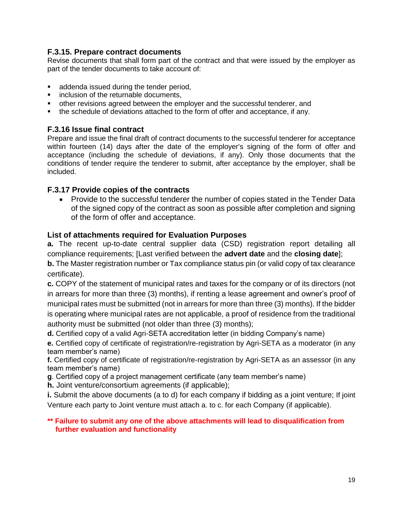## **F.3.15. Prepare contract documents**

Revise documents that shall form part of the contract and that were issued by the employer as part of the tender documents to take account of:

- **addenda issued during the tender period,**
- **EXECUTE:** inclusion of the returnable documents,
- other revisions agreed between the employer and the successful tenderer, and
- the schedule of deviations attached to the form of offer and acceptance, if any.

## **F.3.16 Issue final contract**

Prepare and issue the final draft of contract documents to the successful tenderer for acceptance within fourteen (14) days after the date of the employer's signing of the form of offer and acceptance (including the schedule of deviations, if any). Only those documents that the conditions of tender require the tenderer to submit, after acceptance by the employer, shall be included.

## **F.3.17 Provide copies of the contracts**

• Provide to the successful tenderer the number of copies stated in the Tender Data of the signed copy of the contract as soon as possible after completion and signing of the form of offer and acceptance.

## **List of attachments required for Evaluation Purposes**

**a.** The recent up-to-date central supplier data (CSD) registration report detailing all compliance requirements; [Last verified between the **advert date** and the **closing date**];

**b.** The Master registration number or Tax compliance status pin (or valid copy of tax clearance certificate).

**c.** COPY of the statement of municipal rates and taxes for the company or of its directors (not in arrears for more than three (3) months), if renting a lease agreement and owner's proof of municipal rates must be submitted (not in arrears for more than three (3) months). If the bidder is operating where municipal rates are not applicable, a proof of residence from the traditional authority must be submitted (not older than three (3) months);

**d.** Certified copy of a valid Agri-SETA accreditation letter (in bidding Company's name)

**e.** Certified copy of certificate of registration/re-registration by Agri-SETA as a moderator (in any team member's name)

**f.** Certified copy of certificate of registration/re-registration by Agri-SETA as an assessor (in any team member's name)

**g**. Certified copy of a project management certificate (any team member's name)

**h.** Joint venture/consortium agreements (if applicable);

**i.** Submit the above documents (a to d) for each company if bidding as a joint venture; If joint Venture each party to Joint venture must attach a. to c. for each Company (if applicable).

#### **\*\* Failure to submit any one of the above attachments will lead to disqualification from further evaluation and functionality**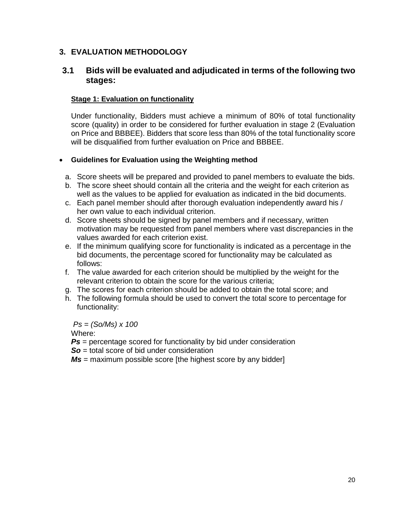## **3. EVALUATION METHODOLOGY**

## **3.1 Bids will be evaluated and adjudicated in terms of the following two stages:**

## **Stage 1: Evaluation on functionality**

Under functionality, Bidders must achieve a minimum of 80% of total functionality score (quality) in order to be considered for further evaluation in stage 2 (Evaluation on Price and BBBEE). Bidders that score less than 80% of the total functionality score will be disqualified from further evaluation on Price and BBBEE.

## **Guidelines for Evaluation using the Weighting method**

- a. Score sheets will be prepared and provided to panel members to evaluate the bids.
- b. The score sheet should contain all the criteria and the weight for each criterion as well as the values to be applied for evaluation as indicated in the bid documents.
- c. Each panel member should after thorough evaluation independently award his / her own value to each individual criterion.
- d. Score sheets should be signed by panel members and if necessary, written motivation may be requested from panel members where vast discrepancies in the values awarded for each criterion exist.
- e. If the minimum qualifying score for functionality is indicated as a percentage in the bid documents, the percentage scored for functionality may be calculated as follows:
- f. The value awarded for each criterion should be multiplied by the weight for the relevant criterion to obtain the score for the various criteria;
- g. The scores for each criterion should be added to obtain the total score; and
- h. The following formula should be used to convert the total score to percentage for functionality:

*Ps = (So/Ms) x 100*

Where:

- **Ps** = percentage scored for functionality by bid under consideration
- **So** = total score of bid under consideration

*Ms* = maximum possible score [the highest score by any bidder]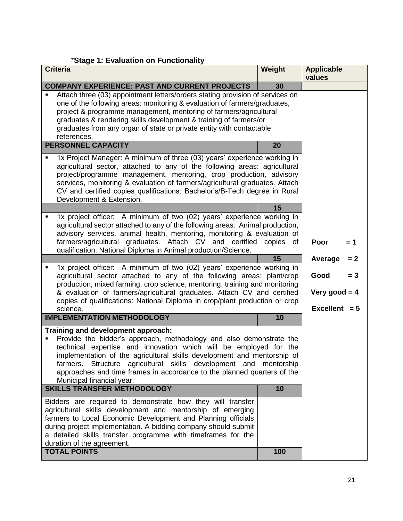## \***Stage 1: Evaluation on Functionality**

| <b>Criteria</b>                                                                                                                                                                                                                                                                                                                                                                                                                                | Weight | <b>Applicable</b><br>values        |       |
|------------------------------------------------------------------------------------------------------------------------------------------------------------------------------------------------------------------------------------------------------------------------------------------------------------------------------------------------------------------------------------------------------------------------------------------------|--------|------------------------------------|-------|
| <b>COMPANY EXPERIENCE: PAST AND CURRENT PROJECTS</b>                                                                                                                                                                                                                                                                                                                                                                                           | 30     |                                    |       |
| Attach three (03) appointment letters/orders stating provision of services on<br>$\blacksquare$<br>one of the following areas: monitoring & evaluation of farmers/graduates,<br>project & programme management, mentoring of farmers/agricultural<br>graduates & rendering skills development & training of farmers/or<br>graduates from any organ of state or private entity with contactable<br>references.                                  |        |                                    |       |
| <b>PERSONNEL CAPACITY</b>                                                                                                                                                                                                                                                                                                                                                                                                                      | 20     |                                    |       |
| 1x Project Manager: A minimum of three (03) years' experience working in<br>Ξ<br>agricultural sector, attached to any of the following areas: agricultural<br>project/programme management, mentoring, crop production, advisory<br>services, monitoring & evaluation of farmers/agricultural graduates. Attach<br>CV and certified copies qualifications: Bachelor's/B-Tech degree in Rural<br>Development & Extension.                       |        |                                    |       |
|                                                                                                                                                                                                                                                                                                                                                                                                                                                | 15     |                                    |       |
| 1x project officer: A minimum of two (02) years' experience working in<br>Ξ<br>agricultural sector attached to any of the following areas: Animal production,<br>advisory services, animal health, mentoring, monitoring & evaluation of<br>farmers/agricultural graduates. Attach CV and certified copies of                                                                                                                                  |        | Poor                               | = 1   |
| qualification: National Diploma in Animal production/Science.                                                                                                                                                                                                                                                                                                                                                                                  |        |                                    |       |
| 1x project officer: A minimum of two (02) years' experience working in<br>Ξ                                                                                                                                                                                                                                                                                                                                                                    | 15     | Average                            | $= 2$ |
| agricultural sector attached to any of the following areas: plant/crop<br>production, mixed farming, crop science, mentoring, training and monitoring                                                                                                                                                                                                                                                                                          |        | Good                               | $= 3$ |
| & evaluation of farmers/agricultural graduates. Attach CV and certified<br>copies of qualifications: National Diploma in crop/plant production or crop                                                                                                                                                                                                                                                                                         |        | Very good $= 4$<br>Excellent $= 5$ |       |
| science.<br><b>IMPLEMENTATION METHODOLOGY</b>                                                                                                                                                                                                                                                                                                                                                                                                  | 10     |                                    |       |
| Training and development approach:<br>Provide the bidder's approach, methodology and also demonstrate the<br>П<br>technical expertise and innovation which will be employed for the<br>implementation of the agricultural skills development and mentorship of<br>Structure agricultural skills development and mentorship<br>farmers.<br>approaches and time frames in accordance to the planned quarters of the<br>Municipal financial year. |        |                                    |       |
| <b>SKILLS TRANSFER METHODOLOGY</b>                                                                                                                                                                                                                                                                                                                                                                                                             | 10     |                                    |       |
| Bidders are required to demonstrate how they will transfer<br>agricultural skills development and mentorship of emerging<br>farmers to Local Economic Development and Planning officials<br>during project implementation. A bidding company should submit<br>a detailed skills transfer programme with timeframes for the<br>duration of the agreement.                                                                                       |        |                                    |       |
| <b>TOTAL POINTS</b>                                                                                                                                                                                                                                                                                                                                                                                                                            | 100    |                                    |       |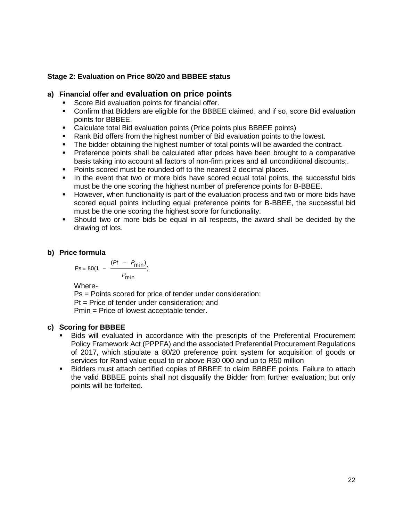#### **Stage 2: Evaluation on Price 80/20 and BBBEE status**

#### **a) Financial offer and evaluation on price points**

- Score Bid evaluation points for financial offer.
- Confirm that Bidders are eligible for the BBBEE claimed, and if so, score Bid evaluation points for BBBEE.
- Calculate total Bid evaluation points (Price points plus BBBEE points)
- Rank Bid offers from the highest number of Bid evaluation points to the lowest.
- The bidder obtaining the highest number of total points will be awarded the contract.
- Preference points shall be calculated after prices have been brought to a comparative basis taking into account all factors of non-firm prices and all unconditional discounts;.
- Points scored must be rounded off to the nearest 2 decimal places.
- In the event that two or more bids have scored equal total points, the successful bids must be the one scoring the highest number of preference points for B-BBEE.
- **However, when functionality is part of the evaluation process and two or more bids have** scored equal points including equal preference points for B-BBEE, the successful bid must be the one scoring the highest score for functionality.
- Should two or more bids be equal in all respects, the award shall be decided by the drawing of lots.

#### **b) Price formula**

$$
Ps = 80(1 - \frac{(Pt - P_{min})}{P_{min}})
$$

Where-

Ps = Points scored for price of tender under consideration; Pt = Price of tender under consideration; and Pmin = Price of lowest acceptable tender.

#### **c) Scoring for BBBEE**

- Bids will evaluated in accordance with the prescripts of the Preferential Procurement Policy Framework Act (PPPFA) and the associated Preferential Procurement Regulations of 2017, which stipulate a 80/20 preference point system for acquisition of goods or services for Rand value equal to or above R30 000 and up to R50 million
- Bidders must attach certified copies of BBBEE to claim BBBEE points. Failure to attach the valid BBBEE points shall not disqualify the Bidder from further evaluation; but only points will be forfeited.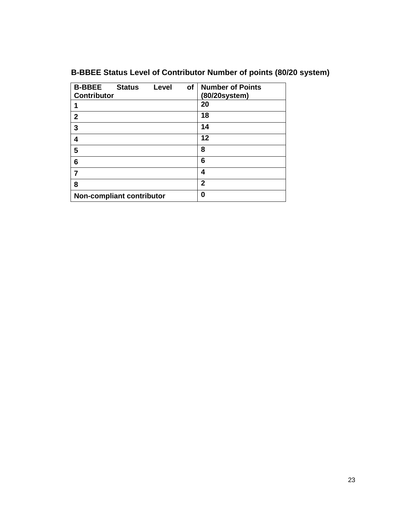|  |  | B-BBEE Status Level of Contributor Number of points (80/20 system) |  |
|--|--|--------------------------------------------------------------------|--|
|  |  |                                                                    |  |

| <b>B-BBEE</b><br><b>Status</b><br><b>Contributor</b> | of<br>Level | <b>Number of Points</b><br>(80/20system) |
|------------------------------------------------------|-------------|------------------------------------------|
| 1                                                    |             | 20                                       |
| $\mathbf{2}$                                         |             | 18                                       |
| 3                                                    |             | 14                                       |
| 4                                                    |             | 12                                       |
| 5                                                    |             | 8                                        |
| 6                                                    |             | 6                                        |
| 7                                                    |             | 4                                        |
| 8                                                    |             | $\mathbf{2}$                             |
| <b>Non-compliant contributor</b>                     |             | 0                                        |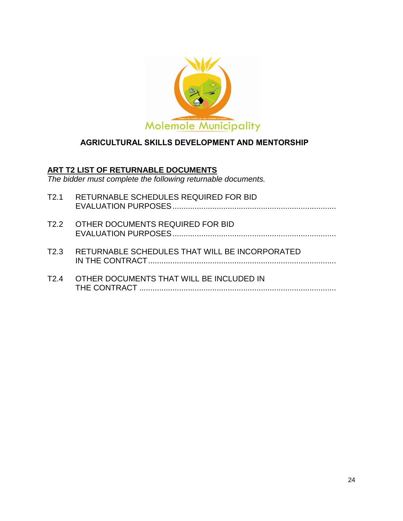

## **AGRICULTURAL SKILLS DEVELOPMENT AND MENTORSHIP**

## **ART T2 LIST OF RETURNABLE DOCUMENTS**

*The bidder must complete the following returnable documents.*

| T2.1             | RETURNABLE SCHEDULES REQUIRED FOR BID          |
|------------------|------------------------------------------------|
|                  | T2.2 OTHER DOCUMENTS REQUIRED FOR BID          |
| T <sub>2.3</sub> | RETURNABLE SCHEDULES THAT WILL BE INCORPORATED |
| T2 4             | OTHER DOCUMENTS THAT WILL BE INCLUDED IN       |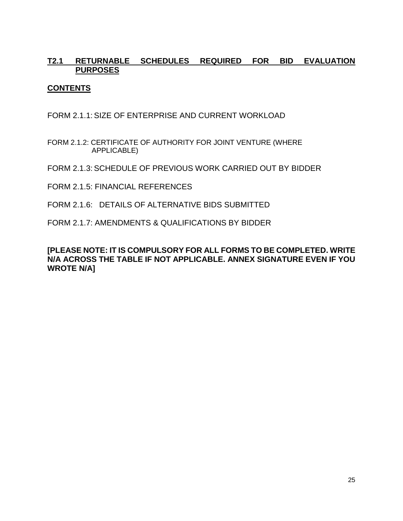## **T2.1 RETURNABLE SCHEDULES REQUIRED FOR BID EVALUATION PURPOSES**

## **CONTENTS**

FORM 2.1.1: SIZE OF ENTERPRISE AND CURRENT WORKLOAD

- FORM 2.1.2: CERTIFICATE OF AUTHORITY FOR JOINT VENTURE (WHERE APPLICABLE)
- FORM 2.1.3: SCHEDULE OF PREVIOUS WORK CARRIED OUT BY BIDDER
- FORM 2.1.5: FINANCIAL REFERENCES
- FORM 2.1.6: DETAILS OF ALTERNATIVE BIDS SUBMITTED
- FORM 2.1.7: AMENDMENTS & QUALIFICATIONS BY BIDDER

**[PLEASE NOTE: IT IS COMPULSORY FOR ALL FORMS TO BE COMPLETED. WRITE N/A ACROSS THE TABLE IF NOT APPLICABLE. ANNEX SIGNATURE EVEN IF YOU WROTE N/A]**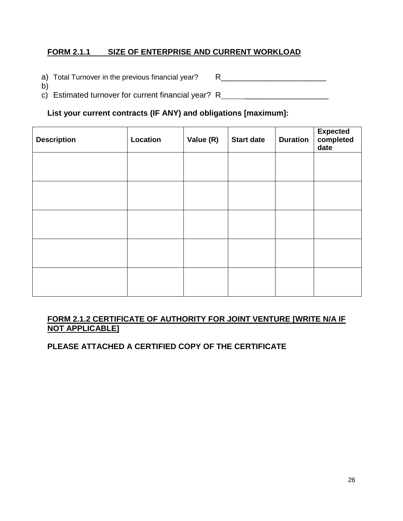## **FORM 2.1.1 SIZE OF ENTERPRISE AND CURRENT WORKLOAD**

- a) Total Turnover in the previous financial year? R\_\_\_\_\_\_\_\_\_\_\_\_\_\_\_\_\_\_\_\_\_\_\_\_\_\_\_\_\_
- b)
- c) Estimated turnover for current financial year? R\_\_\_\_\_\_\_\_\_\_\_\_\_\_\_\_\_\_\_\_\_\_\_\_\_\_\_\_\_\_

## **List your current contracts (IF ANY) and obligations [maximum]:**

| <b>Description</b> | Location | Value (R) | <b>Start date</b> | <b>Duration</b> | Expected<br>completed<br>date |
|--------------------|----------|-----------|-------------------|-----------------|-------------------------------|
|                    |          |           |                   |                 |                               |
|                    |          |           |                   |                 |                               |
|                    |          |           |                   |                 |                               |
|                    |          |           |                   |                 |                               |
|                    |          |           |                   |                 |                               |

## **FORM 2.1.2 CERTIFICATE OF AUTHORITY FOR JOINT VENTURE [WRITE N/A IF NOT APPLICABLE]**

**PLEASE ATTACHED A CERTIFIED COPY OF THE CERTIFICATE**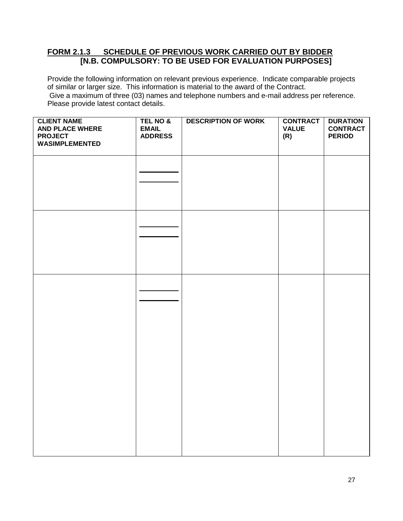## **FORM 2.1.3 SCHEDULE OF PREVIOUS WORK CARRIED OUT BY BIDDER [N.B. COMPULSORY: TO BE USED FOR EVALUATION PURPOSES]**

Provide the following information on relevant previous experience. Indicate comparable projects of similar or larger size. This information is material to the award of the Contract. Give a maximum of three (03) names and telephone numbers and e-mail address per reference. Please provide latest contact details.

| <b>CLIENT NAME</b><br><b>AND PLACE WHERE</b><br><b>PROJECT</b><br>WASIMPLEMENTED | TEL NO &<br><b>EMAIL</b><br><b>ADDRESS</b> | <b>DESCRIPTION OF WORK</b> | <b>CONTRACT</b><br><b>VALUE</b><br>(R) | <b>DURATION</b><br><b>CONTRACT</b><br><b>PERIOD</b> |
|----------------------------------------------------------------------------------|--------------------------------------------|----------------------------|----------------------------------------|-----------------------------------------------------|
|                                                                                  |                                            |                            |                                        |                                                     |
|                                                                                  |                                            |                            |                                        |                                                     |
|                                                                                  |                                            |                            |                                        |                                                     |
|                                                                                  |                                            |                            |                                        |                                                     |
|                                                                                  |                                            |                            |                                        |                                                     |
|                                                                                  |                                            |                            |                                        |                                                     |
|                                                                                  |                                            |                            |                                        |                                                     |
|                                                                                  |                                            |                            |                                        |                                                     |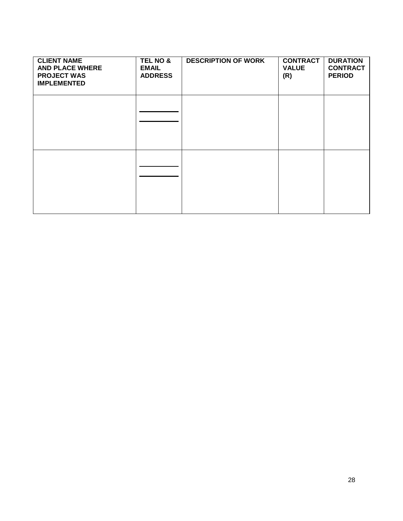| <b>CLIENT NAME</b><br><b>AND PLACE WHERE</b><br><b>PROJECT WAS</b><br><b>IMPLEMENTED</b> | TEL NO &<br><b>EMAIL</b><br><b>ADDRESS</b> | <b>DESCRIPTION OF WORK</b> | <b>CONTRACT</b><br><b>VALUE</b><br>(R) | <b>DURATION</b><br><b>CONTRACT</b><br><b>PERIOD</b> |
|------------------------------------------------------------------------------------------|--------------------------------------------|----------------------------|----------------------------------------|-----------------------------------------------------|
|                                                                                          |                                            |                            |                                        |                                                     |
|                                                                                          |                                            |                            |                                        |                                                     |
|                                                                                          |                                            |                            |                                        |                                                     |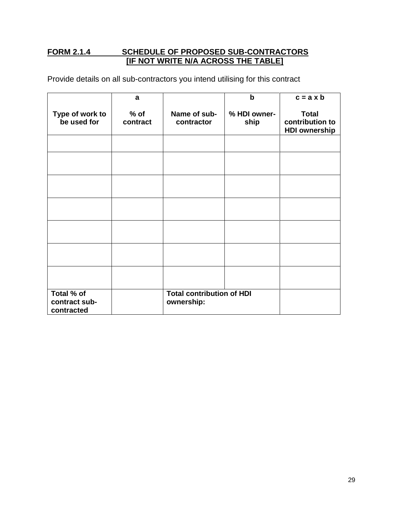## **FORM 2.1.4 SCHEDULE OF PROPOSED SUB-CONTRACTORS [IF NOT WRITE N/A ACROSS THE TABLE]**

Provide details on all sub-contractors you intend utilising for this contract

|                                           | a                  |                                                | $\mathbf b$          | $c = a \times b$                                        |
|-------------------------------------------|--------------------|------------------------------------------------|----------------------|---------------------------------------------------------|
| Type of work to<br>be used for            | $%$ of<br>contract | Name of sub-<br>contractor                     | % HDI owner-<br>ship | <b>Total</b><br>contribution to<br><b>HDI ownership</b> |
|                                           |                    |                                                |                      |                                                         |
|                                           |                    |                                                |                      |                                                         |
|                                           |                    |                                                |                      |                                                         |
|                                           |                    |                                                |                      |                                                         |
|                                           |                    |                                                |                      |                                                         |
|                                           |                    |                                                |                      |                                                         |
|                                           |                    |                                                |                      |                                                         |
| Total % of<br>contract sub-<br>contracted |                    | <b>Total contribution of HDI</b><br>ownership: |                      |                                                         |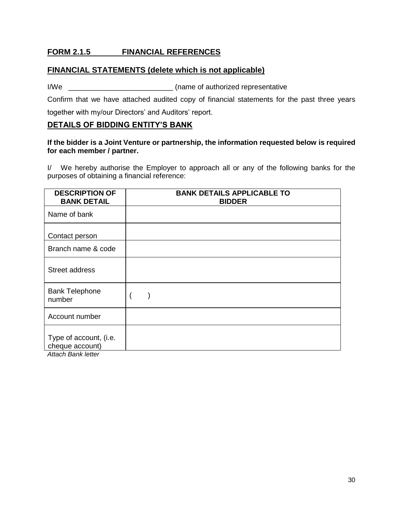## **FORM 2.1.5 FINANCIAL REFERENCES**

#### **FINANCIAL STATEMENTS (delete which is not applicable)**

I/We  $\frac{1}{2}$  (name of authorized representative

Confirm that we have attached audited copy of financial statements for the past three years together with my/our Directors' and Auditors' report.

#### **DETAILS OF BIDDING ENTITY'S BANK**

#### **If the bidder is a Joint Venture or partnership, the information requested below is required for each member / partner.**

I/ We hereby authorise the Employer to approach all or any of the following banks for the purposes of obtaining a financial reference:

| <b>BANK DETAIL</b>                                                     | <b>BANK DETAILS APPLICABLE TO</b><br><b>BIDDER</b> |
|------------------------------------------------------------------------|----------------------------------------------------|
| Name of bank                                                           |                                                    |
| Contact person                                                         |                                                    |
| Branch name & code                                                     |                                                    |
| Street address                                                         |                                                    |
| <b>Bank Telephone</b><br>number                                        |                                                    |
| Account number                                                         |                                                    |
| Type of account, (i.e.<br>cheque account)<br><b>Attach Bank letter</b> |                                                    |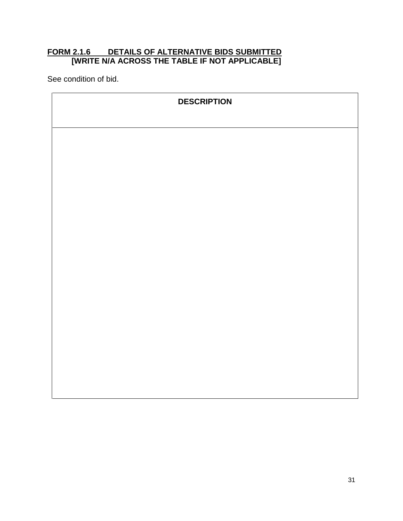## **FORM 2.1.6 DETAILS OF ALTERNATIVE BIDS SUBMITTED [WRITE N/A ACROSS THE TABLE IF NOT APPLICABLE]**

See condition of bid.

| <b>DESCRIPTION</b> |  |
|--------------------|--|
|                    |  |
|                    |  |
|                    |  |
|                    |  |
|                    |  |
|                    |  |
|                    |  |
|                    |  |
|                    |  |
|                    |  |
|                    |  |
|                    |  |
|                    |  |
|                    |  |
|                    |  |
|                    |  |
|                    |  |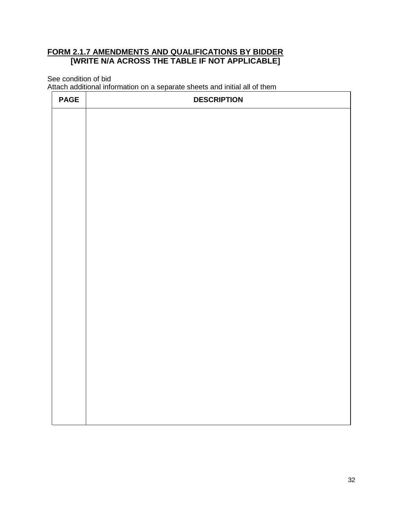## **FORM 2.1.7 AMENDMENTS AND QUALIFICATIONS BY BIDDER [WRITE N/A ACROSS THE TABLE IF NOT APPLICABLE]**

See condition of bid

Attach additional information on a separate sheets and initial all of them

| <b>PAGE</b> | <b>DESCRIPTION</b> |
|-------------|--------------------|
|             |                    |
|             |                    |
|             |                    |
|             |                    |
|             |                    |
|             |                    |
|             |                    |
|             |                    |
|             |                    |
|             |                    |
|             |                    |
|             |                    |
|             |                    |
|             |                    |
|             |                    |
|             |                    |
|             |                    |
|             |                    |
|             |                    |
|             |                    |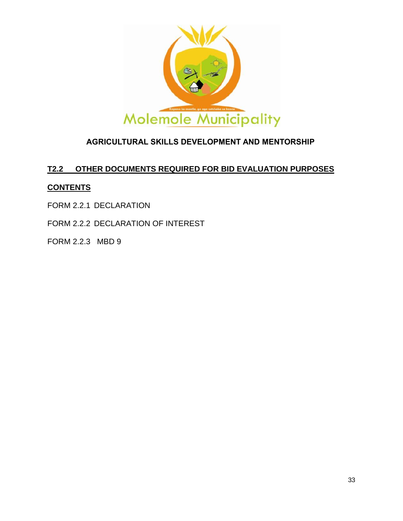

## **AGRICULTURAL SKILLS DEVELOPMENT AND MENTORSHIP**

## **T2.2 OTHER DOCUMENTS REQUIRED FOR BID EVALUATION PURPOSES**

## **CONTENTS**

- FORM 2.2.1 DECLARATION
- FORM 2.2.2 DECLARATION OF INTEREST
- FORM 2.2.3 MBD 9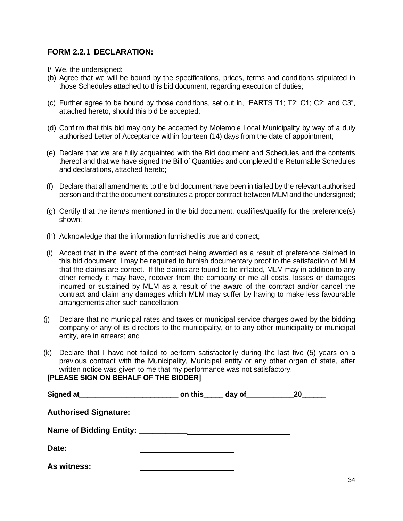## **FORM 2.2.1 DECLARATION:**

- I/ We, the undersigned:
- (b) Agree that we will be bound by the specifications, prices, terms and conditions stipulated in those Schedules attached to this bid document, regarding execution of duties;
- (c) Further agree to be bound by those conditions, set out in, "PARTS T1; T2; C1; C2; and C3", attached hereto, should this bid be accepted;
- (d) Confirm that this bid may only be accepted by Molemole Local Municipality by way of a duly authorised Letter of Acceptance within fourteen (14) days from the date of appointment;
- (e) Declare that we are fully acquainted with the Bid document and Schedules and the contents thereof and that we have signed the Bill of Quantities and completed the Returnable Schedules and declarations, attached hereto;
- (f) Declare that all amendments to the bid document have been initialled by the relevant authorised person and that the document constitutes a proper contract between MLM and the undersigned;
- (g) Certify that the item/s mentioned in the bid document, qualifies/qualify for the preference(s) shown;
- (h) Acknowledge that the information furnished is true and correct;
- (i) Accept that in the event of the contract being awarded as a result of preference claimed in this bid document, I may be required to furnish documentary proof to the satisfaction of MLM that the claims are correct. If the claims are found to be inflated, MLM may in addition to any other remedy it may have, recover from the company or me all costs, losses or damages incurred or sustained by MLM as a result of the award of the contract and/or cancel the contract and claim any damages which MLM may suffer by having to make less favourable arrangements after such cancellation;
- (j) Declare that no municipal rates and taxes or municipal service charges owed by the bidding company or any of its directors to the municipality, or to any other municipality or municipal entity, are in arrears; and
- (k) Declare that I have not failed to perform satisfactorily during the last five (5) years on a previous contract with the Municipality, Municipal entity or any other organ of state, after written notice was given to me that my performance was not satisfactory.

## **[PLEASE SIGN ON BEHALF OF THE BIDDER]**

|                              |                                               | _ on this_____ day of___________ | <b>20</b> |
|------------------------------|-----------------------------------------------|----------------------------------|-----------|
| <b>Authorised Signature:</b> | <u> 1989 - Andrea Andrew Maria (h. 1989).</u> |                                  |           |
|                              |                                               |                                  |           |
| Date:                        |                                               |                                  |           |
| As witness:                  |                                               |                                  |           |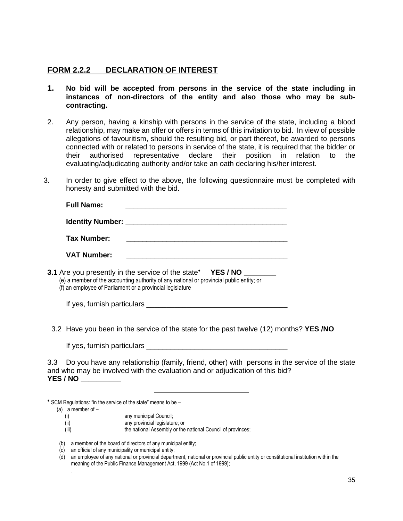## **FORM 2.2.2 DECLARATION OF INTEREST**

- **1. No bid will be accepted from persons in the service of the state including in instances of non-directors of the entity and also those who may be subcontracting.**
- 2. Any person, having a kinship with persons in the service of the state, including a blood relationship, may make an offer or offers in terms of this invitation to bid. In view of possible allegations of favouritism, should the resulting bid, or part thereof, be awarded to persons connected with or related to persons in service of the state, it is required that the bidder or their authorised representative declare their position in relation to the evaluating/adjudicating authority and/or take an oath declaring his/her interest.
- 3. In order to give effect to the above, the following questionnaire must be completed with honesty and submitted with the bid.

| <b>Full Name:</b>                                         |                                                                                                                                                                 |
|-----------------------------------------------------------|-----------------------------------------------------------------------------------------------------------------------------------------------------------------|
|                                                           |                                                                                                                                                                 |
| Tax Number:                                               | <u> 1989 - Johann John Stone, mensk politik (* 1958)</u>                                                                                                        |
| <b>VAT Number:</b>                                        | <u> 1980 - Jan Barbara, martin da shekara tsa mashrida na shekara tsa mashrida na shekara tsa mashrida na shekara</u>                                           |
| (f) an employee of Parliament or a provincial legislature | 3.1 Are you presently in the service of the state* YES / NO _______<br>(e) a member of the accounting authority of any national or provincial public entity; or |
|                                                           |                                                                                                                                                                 |
|                                                           | 3.2 Have you been in the service of the state for the past twelve (12) months? YES /NO                                                                          |
| If yes, furnish particulars                               |                                                                                                                                                                 |

3.3 Do you have any relationship (family, friend, other) with persons in the service of the state and who may be involved with the evaluation and or adjudication of this bid? **YES / NO \_\_\_\_\_\_\_\_\_\_**

\* SCM Regulations: "in the service of the state" means to be -

(a) a member of –

.

- (i) any municipal Council;
- (ii) any provincial legislature; or
- (iii) the national Assembly or the national Council of provinces;

(b) a member of the board of directors of any municipal entity;

- $(c)$  an official of any municipality or municipal entity;
- (d) an employee of any national or provincial department, national or provincial public entity or constitutional institution within the meaning of the Public Finance Management Act, 1999 (Act No.1 of 1999);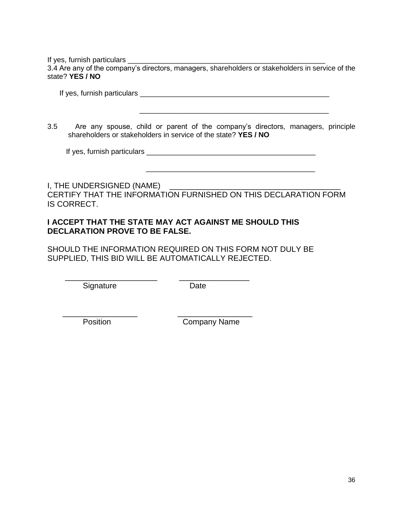If yes, furnish particulars

3.4 Are any of the company's directors, managers, shareholders or stakeholders in service of the state? **YES / NO**

If yes, furnish particulars **expression** of the set of the set of the set of the set of the set of the set of the set of the set of the set of the set of the set of the set of the set of the set of the set of the set of th

3.5 Are any spouse, child or parent of the company's directors, managers, principle shareholders or stakeholders in service of the state? **YES / NO**

\_\_\_\_\_\_\_\_\_\_\_\_\_\_\_\_\_\_\_\_\_\_\_\_\_\_\_\_\_\_\_\_\_\_\_\_\_\_\_\_\_\_\_\_\_\_\_

\_\_\_\_\_\_\_\_\_\_\_\_\_\_\_\_\_\_\_\_\_\_\_\_\_\_\_\_\_\_\_\_\_\_\_\_\_\_\_\_\_\_

If yes, furnish particulars \_\_\_\_\_\_\_\_\_\_\_\_\_\_\_\_\_\_\_\_\_\_\_\_\_\_\_\_\_\_\_\_\_\_\_\_\_\_\_\_\_\_

I, THE UNDERSIGNED (NAME) \_\_\_\_\_\_\_ CERTIFY THAT THE INFORMATION FURNISHED ON THIS DECLARATION FORM IS CORRECT.

#### **I ACCEPT THAT THE STATE MAY ACT AGAINST ME SHOULD THIS DECLARATION PROVE TO BE FALSE.**

\_\_\_\_\_\_\_\_\_\_\_\_\_\_\_\_\_\_\_\_\_ \_\_\_\_\_\_\_\_\_\_\_\_\_\_\_\_

 $\frac{1}{2}$  ,  $\frac{1}{2}$  ,  $\frac{1}{2}$  ,  $\frac{1}{2}$  ,  $\frac{1}{2}$  ,  $\frac{1}{2}$  ,  $\frac{1}{2}$  ,  $\frac{1}{2}$  ,  $\frac{1}{2}$  ,  $\frac{1}{2}$  ,  $\frac{1}{2}$  ,  $\frac{1}{2}$  ,  $\frac{1}{2}$  ,  $\frac{1}{2}$  ,  $\frac{1}{2}$  ,  $\frac{1}{2}$  ,  $\frac{1}{2}$  ,  $\frac{1}{2}$  ,  $\frac{1$ 

SHOULD THE INFORMATION REQUIRED ON THIS FORM NOT DULY BE SUPPLIED, THIS BID WILL BE AUTOMATICALLY REJECTED.

Signature Date

Position **Company Name**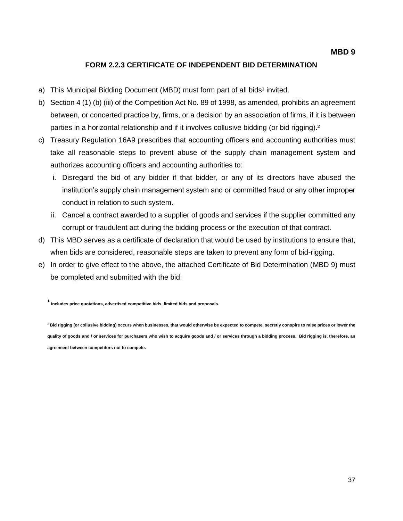#### **FORM 2.2.3 CERTIFICATE OF INDEPENDENT BID DETERMINATION**

- a) This Municipal Bidding Document (MBD) must form part of all bids<sup>1</sup> invited.
- b) Section 4 (1) (b) (iii) of the Competition Act No. 89 of 1998, as amended, prohibits an agreement between, or concerted practice by, firms, or a decision by an association of firms, if it is between parties in a horizontal relationship and if it involves collusive bidding (or bid rigging).<sup>2</sup>
- c) Treasury Regulation 16A9 prescribes that accounting officers and accounting authorities must take all reasonable steps to prevent abuse of the supply chain management system and authorizes accounting officers and accounting authorities to:
	- i. Disregard the bid of any bidder if that bidder, or any of its directors have abused the institution's supply chain management system and or committed fraud or any other improper conduct in relation to such system.
	- ii. Cancel a contract awarded to a supplier of goods and services if the supplier committed any corrupt or fraudulent act during the bidding process or the execution of that contract.
- d) This MBD serves as a certificate of declaration that would be used by institutions to ensure that, when bids are considered, reasonable steps are taken to prevent any form of bid-rigging.
- e) In order to give effect to the above, the attached Certificate of Bid Determination (MBD 9) must be completed and submitted with the bid:

**¹ Includes price quotations, advertised competitive bids, limited bids and proposals.**

<sup>2</sup> Bid rigging (or collusive bidding) occurs when businesses, that would otherwise be expected to compete, secretly conspire to raise prices or lower the **quality of goods and / or services for purchasers who wish to acquire goods and / or services through a bidding process. Bid rigging is, therefore, an agreement between competitors not to compete.**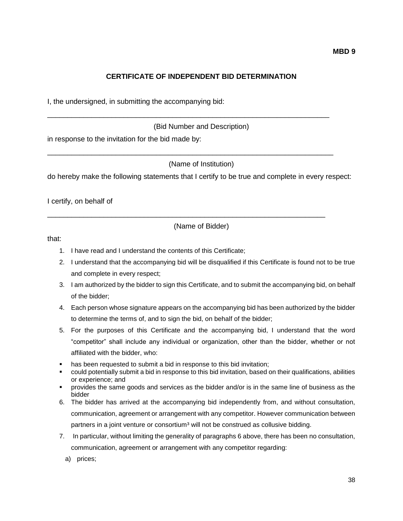#### **CERTIFICATE OF INDEPENDENT BID DETERMINATION**

I, the undersigned, in submitting the accompanying bid:

(Bid Number and Description)

\_\_\_\_\_\_\_\_\_\_\_\_\_\_\_\_\_\_\_\_\_\_\_\_\_\_\_\_\_\_\_\_\_\_\_\_\_\_\_\_\_\_\_\_\_\_\_\_\_\_\_\_\_\_\_\_\_\_\_\_\_\_\_\_\_\_\_\_\_\_

\_\_\_\_\_\_\_\_\_\_\_\_\_\_\_\_\_\_\_\_\_\_\_\_\_\_\_\_\_\_\_\_\_\_\_\_\_\_\_\_\_\_\_\_\_\_\_\_\_\_\_\_\_\_\_\_\_\_\_\_\_\_\_\_\_\_\_\_\_\_\_

\_\_\_\_\_\_\_\_\_\_\_\_\_\_\_\_\_\_\_\_\_\_\_\_\_\_\_\_\_\_\_\_\_\_\_\_\_\_\_\_\_\_\_\_\_\_\_\_\_\_\_\_\_\_\_\_\_\_\_\_\_\_\_\_\_\_\_\_\_

in response to the invitation for the bid made by:

(Name of Institution)

do hereby make the following statements that I certify to be true and complete in every respect:

I certify, on behalf of

(Name of Bidder)

that:

- 1. I have read and I understand the contents of this Certificate;
- 2. I understand that the accompanying bid will be disqualified if this Certificate is found not to be true and complete in every respect;
- 3. I am authorized by the bidder to sign this Certificate, and to submit the accompanying bid, on behalf of the bidder;
- 4. Each person whose signature appears on the accompanying bid has been authorized by the bidder to determine the terms of, and to sign the bid, on behalf of the bidder;
- 5. For the purposes of this Certificate and the accompanying bid, I understand that the word "competitor" shall include any individual or organization, other than the bidder, whether or not affiliated with the bidder, who:
- has been requested to submit a bid in response to this bid invitation;
- could potentially submit a bid in response to this bid invitation, based on their qualifications, abilities or experience; and
- provides the same goods and services as the bidder and/or is in the same line of business as the bidder
- 6. The bidder has arrived at the accompanying bid independently from, and without consultation, communication, agreement or arrangement with any competitor. However communication between partners in a joint venture or consortium<sup>3</sup> will not be construed as collusive bidding.
- 7. In particular, without limiting the generality of paragraphs 6 above, there has been no consultation, communication, agreement or arrangement with any competitor regarding:

a) prices;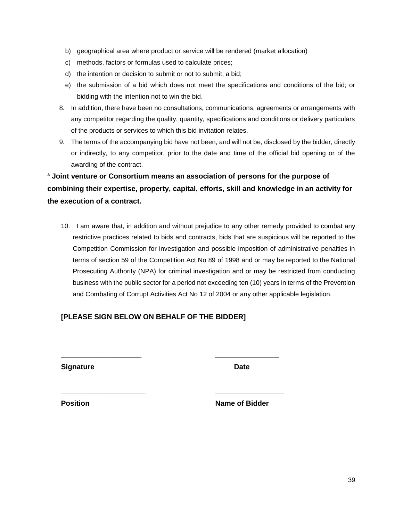- b) geographical area where product or service will be rendered (market allocation)
- c) methods, factors or formulas used to calculate prices;
- d) the intention or decision to submit or not to submit, a bid;
- e) the submission of a bid which does not meet the specifications and conditions of the bid; or bidding with the intention not to win the bid.
- 8. In addition, there have been no consultations, communications, agreements or arrangements with any competitor regarding the quality, quantity, specifications and conditions or delivery particulars of the products or services to which this bid invitation relates.
- 9. The terms of the accompanying bid have not been, and will not be, disclosed by the bidder, directly or indirectly, to any competitor, prior to the date and time of the official bid opening or of the awarding of the contract.

## **³ Joint venture or Consortium means an association of persons for the purpose of combining their expertise, property, capital, efforts, skill and knowledge in an activity for the execution of a contract.**

10. I am aware that, in addition and without prejudice to any other remedy provided to combat any restrictive practices related to bids and contracts, bids that are suspicious will be reported to the Competition Commission for investigation and possible imposition of administrative penalties in terms of section 59 of the Competition Act No 89 of 1998 and or may be reported to the National Prosecuting Authority (NPA) for criminal investigation and or may be restricted from conducting business with the public sector for a period not exceeding ten (10) years in terms of the Prevention and Combating of Corrupt Activities Act No 12 of 2004 or any other applicable legislation.

## **[PLEASE SIGN BELOW ON BEHALF OF THE BIDDER]**

**\_\_\_\_\_\_\_\_\_\_\_\_\_\_\_\_\_\_\_\_ \_\_\_\_\_\_\_\_\_\_\_\_\_\_\_\_**

**\_\_\_\_\_\_\_\_\_\_\_\_\_\_\_\_\_\_\_\_\_ \_\_\_\_\_\_\_\_\_\_\_\_\_\_\_\_\_**

**Signature Date** 

**Position Contract Contract Contract Contract Contract Contract Contract Contract Contract Contract Contract Contract Contract Contract Contract Contract Contract Contract Contract Contract Contract Contract Contract Contr**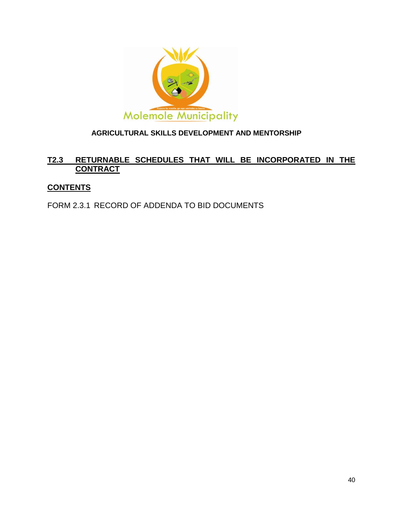

## **AGRICULTURAL SKILLS DEVELOPMENT AND MENTORSHIP**

## **T2.3 RETURNABLE SCHEDULES THAT WILL BE INCORPORATED IN THE CONTRACT**

## **CONTENTS**

FORM 2.3.1 RECORD OF ADDENDA TO BID DOCUMENTS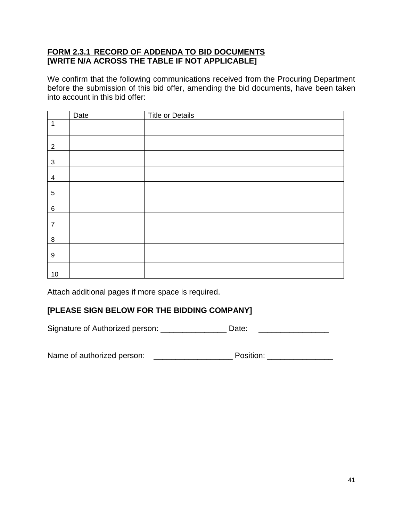## **FORM 2.3.1 RECORD OF ADDENDA TO BID DOCUMENTS [WRITE N/A ACROSS THE TABLE IF NOT APPLICABLE]**

We confirm that the following communications received from the Procuring Department before the submission of this bid offer, amending the bid documents, have been taken into account in this bid offer:

|                  | Date | <b>Title or Details</b> |
|------------------|------|-------------------------|
| 1                |      |                         |
| $\overline{2}$   |      |                         |
| $\sqrt{3}$       |      |                         |
| 4                |      |                         |
| $5\phantom{.0}$  |      |                         |
| $\,6\,$          |      |                         |
| $\overline{7}$   |      |                         |
| 8                |      |                         |
| $\boldsymbol{9}$ |      |                         |
| $10$             |      |                         |

Attach additional pages if more space is required.

## **[PLEASE SIGN BELOW FOR THE BIDDING COMPANY]**

Signature of Authorized person: \_\_\_\_\_\_\_\_\_\_\_\_\_\_\_\_\_\_ Date: \_\_\_\_\_\_\_\_\_\_\_\_\_\_\_\_\_\_\_\_\_\_\_

Name of authorized person: \_\_\_\_\_\_\_\_\_\_\_\_\_\_\_\_\_\_ Position: \_\_\_\_\_\_\_\_\_\_\_\_\_\_\_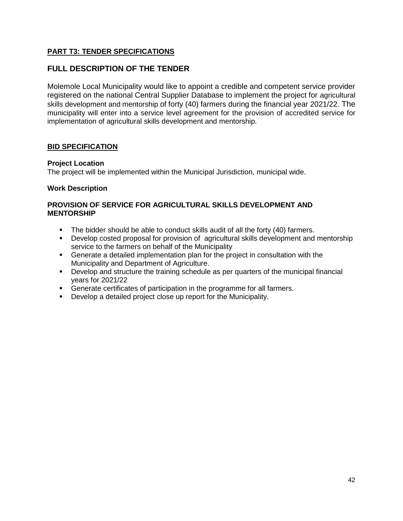## **PART T3: TENDER SPECIFICATIONS**

## **FULL DESCRIPTION OF THE TENDER**

Molemole Local Municipality would like to appoint a credible and competent service provider registered on the national Central Supplier Database to implement the project for agricultural skills development and mentorship of forty (40) farmers during the financial year 2021/22. The municipality will enter into a service level agreement for the provision of accredited service for implementation of agricultural skills development and mentorship.

#### **BID SPECIFICATION**

#### **Project Location**

The project will be implemented within the Municipal Jurisdiction, municipal wide.

#### **Work Description**

#### **PROVISION OF SERVICE FOR AGRICULTURAL SKILLS DEVELOPMENT AND MENTORSHIP**

- The bidder should be able to conduct skills audit of all the forty (40) farmers.
- **Develop costed proposal for provision of agricultural skills development and mentorship** service to the farmers on behalf of the Municipality
- Generate a detailed implementation plan for the project in consultation with the Municipality and Department of Agriculture.
- Develop and structure the training schedule as per quarters of the municipal financial years for 2021/22
- **Generate certificates of participation in the programme for all farmers.**
- **Develop a detailed project close up report for the Municipality.**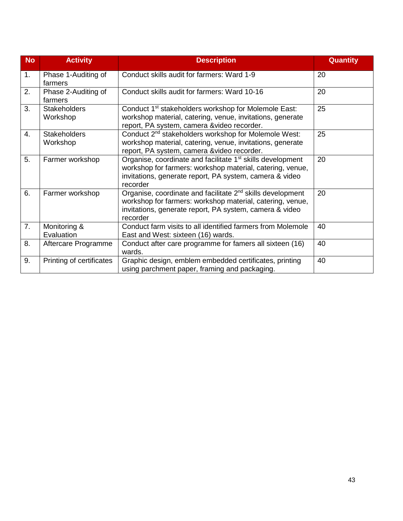| <b>No</b> | <b>Activity</b>                 | <b>Description</b>                                                                                                                                                                                         | <b>Quantity</b> |
|-----------|---------------------------------|------------------------------------------------------------------------------------------------------------------------------------------------------------------------------------------------------------|-----------------|
| 1.        | Phase 1-Auditing of<br>farmers  | Conduct skills audit for farmers: Ward 1-9                                                                                                                                                                 | 20              |
| 2.        | Phase 2-Auditing of<br>farmers  | Conduct skills audit for farmers: Ward 10-16                                                                                                                                                               | 20              |
| 3.        | <b>Stakeholders</b><br>Workshop | Conduct 1 <sup>st</sup> stakeholders workshop for Molemole East:<br>workshop material, catering, venue, invitations, generate<br>report, PA system, camera &video recorder.                                | 25              |
| 4.        | <b>Stakeholders</b><br>Workshop | Conduct 2 <sup>nd</sup> stakeholders workshop for Molemole West:<br>workshop material, catering, venue, invitations, generate<br>report, PA system, camera &video recorder.                                | 25              |
| 5.        | Farmer workshop                 | Organise, coordinate and facilitate 1 <sup>st</sup> skills development<br>workshop for farmers: workshop material, catering, venue,<br>invitations, generate report, PA system, camera & video<br>recorder | 20              |
| 6.        | Farmer workshop                 | Organise, coordinate and facilitate $2nd$ skills development<br>workshop for farmers: workshop material, catering, venue,<br>invitations, generate report, PA system, camera & video<br>recorder           | 20              |
| 7.        | Monitoring &<br>Evaluation      | Conduct farm visits to all identified farmers from Molemole<br>East and West: sixteen (16) wards.                                                                                                          | 40              |
| 8.        | Aftercare Programme             | Conduct after care programme for famers all sixteen (16)<br>wards.                                                                                                                                         | 40              |
| 9.        | Printing of certificates        | Graphic design, emblem embedded certificates, printing<br>using parchment paper, framing and packaging.                                                                                                    | 40              |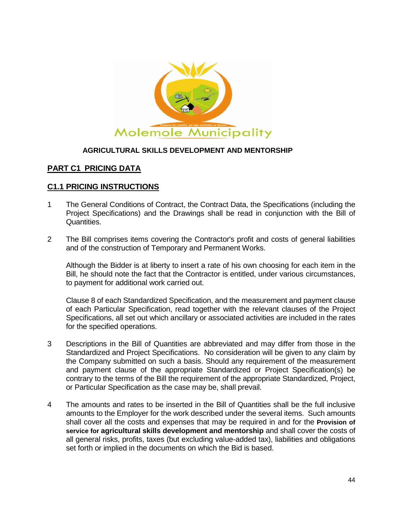

#### **AGRICULTURAL SKILLS DEVELOPMENT AND MENTORSHIP**

## **PART C1 PRICING DATA**

## **C1.1 PRICING INSTRUCTIONS**

- 1 The General Conditions of Contract, the Contract Data, the Specifications (including the Project Specifications) and the Drawings shall be read in conjunction with the Bill of Quantities.
- 2 The Bill comprises items covering the Contractor's profit and costs of general liabilities and of the construction of Temporary and Permanent Works.

Although the Bidder is at liberty to insert a rate of his own choosing for each item in the Bill, he should note the fact that the Contractor is entitled, under various circumstances, to payment for additional work carried out.

Clause 8 of each Standardized Specification, and the measurement and payment clause of each Particular Specification, read together with the relevant clauses of the Project Specifications, all set out which ancillary or associated activities are included in the rates for the specified operations.

- 3 Descriptions in the Bill of Quantities are abbreviated and may differ from those in the Standardized and Project Specifications. No consideration will be given to any claim by the Company submitted on such a basis. Should any requirement of the measurement and payment clause of the appropriate Standardized or Project Specification(s) be contrary to the terms of the Bill the requirement of the appropriate Standardized, Project, or Particular Specification as the case may be, shall prevail.
- 4 The amounts and rates to be inserted in the Bill of Quantities shall be the full inclusive amounts to the Employer for the work described under the several items. Such amounts shall cover all the costs and expenses that may be required in and for the **Provision of service for agricultural skills development and mentorship** and shall cover the costs of all general risks, profits, taxes (but excluding value-added tax), liabilities and obligations set forth or implied in the documents on which the Bid is based.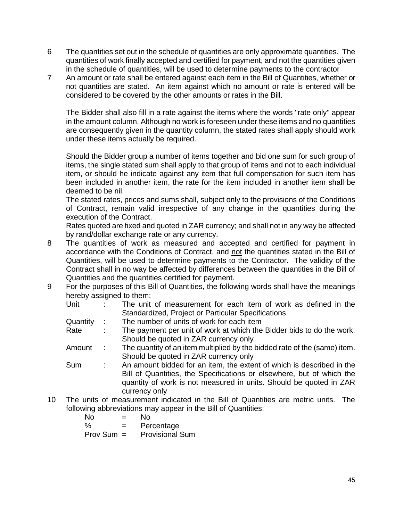- 6 The quantities set out in the schedule of quantities are only approximate quantities. The quantities of work finally accepted and certified for payment, and not the quantities given in the schedule of quantities, will be used to determine payments to the contractor
- 7 An amount or rate shall be entered against each item in the Bill of Quantities, whether or not quantities are stated. An item against which no amount or rate is entered will be considered to be covered by the other amounts or rates in the Bill.

The Bidder shall also fill in a rate against the items where the words "rate only" appear in the amount column. Although no work is foreseen under these items and no quantities are consequently given in the quantity column, the stated rates shall apply should work under these items actually be required.

Should the Bidder group a number of items together and bid one sum for such group of items, the single stated sum shall apply to that group of items and not to each individual item, or should he indicate against any item that full compensation for such item has been included in another item, the rate for the item included in another item shall be deemed to be nil.

The stated rates, prices and sums shall, subject only to the provisions of the Conditions of Contract, remain valid irrespective of any change in the quantities during the execution of the Contract.

Rates quoted are fixed and quoted in ZAR currency; and shall not in any way be affected by rand/dollar exchange rate or any currency.

- 8 The quantities of work as measured and accepted and certified for payment in accordance with the Conditions of Contract, and not the quantities stated in the Bill of Quantities, will be used to determine payments to the Contractor. The validity of the Contract shall in no way be affected by differences between the quantities in the Bill of Quantities and the quantities certified for payment.
- 9 For the purposes of this Bill of Quantities, the following words shall have the meanings hereby assigned to them:

| Unit     |            | The unit of measurement for each item of work as defined in the           |
|----------|------------|---------------------------------------------------------------------------|
|          |            | Standardized, Project or Particular Specifications                        |
| Quantity |            | The number of units of work for each item                                 |
| Rate     | ÷          | The payment per unit of work at which the Bidder bids to do the work.     |
|          |            | Should be quoted in ZAR currency only                                     |
| Amount   | $\sim 100$ | The quantity of an item multiplied by the bidded rate of the (same) item. |
|          |            | Should be quoted in ZAR currency only                                     |
| Sum      |            | An amount bidded for an item, the extent of which is described in the     |
|          |            | Bill of Quantities, the Specifications or elsewhere, but of which the     |
|          |            | quantity of work is not measured in units. Should be quoted in ZAR        |

currency only

10 The units of measurement indicated in the Bill of Quantities are metric units. The following abbreviations may appear in the Bill of Quantities:

| No<br>=      | N٥                     |
|--------------|------------------------|
| %<br>$=$     | Percentage             |
| $Prov Sum =$ | <b>Provisional Sum</b> |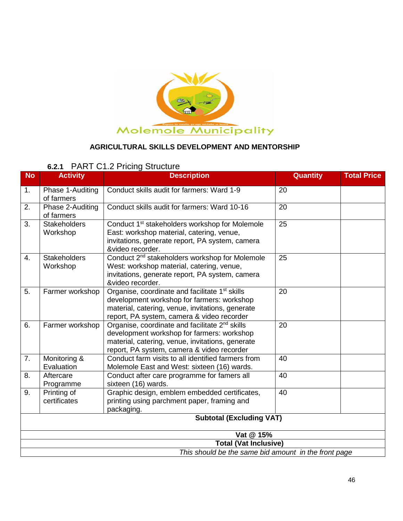

## **AGRICULTURAL SKILLS DEVELOPMENT AND MENTORSHIP**

## **6.2.1** PART C1.2 Pricing Structure

| <b>No</b>                       | <b>Activity</b>                 | <b>Description</b>                                                                                                                                                                                         | Quantity | <b>Total Price</b> |
|---------------------------------|---------------------------------|------------------------------------------------------------------------------------------------------------------------------------------------------------------------------------------------------------|----------|--------------------|
| 1.                              | Phase 1-Auditing<br>of farmers  | Conduct skills audit for farmers: Ward 1-9                                                                                                                                                                 | 20       |                    |
| 2.                              | Phase 2-Auditing<br>of farmers  | Conduct skills audit for farmers: Ward 10-16                                                                                                                                                               | 20       |                    |
| 3.                              | <b>Stakeholders</b><br>Workshop | Conduct 1 <sup>st</sup> stakeholders workshop for Molemole<br>East: workshop material, catering, venue,<br>invitations, generate report, PA system, camera<br>&video recorder.                             | 25       |                    |
| 4.                              | <b>Stakeholders</b><br>Workshop | Conduct 2 <sup>nd</sup> stakeholders workshop for Molemole<br>West: workshop material, catering, venue,<br>invitations, generate report, PA system, camera<br>&video recorder.                             | 25       |                    |
| 5.                              | Farmer workshop                 | Organise, coordinate and facilitate 1 <sup>st</sup> skills<br>development workshop for farmers: workshop<br>material, catering, venue, invitations, generate<br>report, PA system, camera & video recorder | 20       |                    |
| 6.                              | Farmer workshop                 | Organise, coordinate and facilitate 2 <sup>nd</sup> skills<br>development workshop for farmers: workshop<br>material, catering, venue, invitations, generate<br>report, PA system, camera & video recorder | 20       |                    |
| 7.                              | Monitoring &<br>Evaluation      | Conduct farm visits to all identified farmers from<br>Molemole East and West: sixteen (16) wards.                                                                                                          | 40       |                    |
| 8.                              | Aftercare<br>Programme          | Conduct after care programme for famers all<br>sixteen (16) wards.                                                                                                                                         | 40       |                    |
| 9.                              | Printing of<br>certificates     | Graphic design, emblem embedded certificates,<br>printing using parchment paper, framing and<br>packaging.                                                                                                 | 40       |                    |
| <b>Subtotal (Excluding VAT)</b> |                                 |                                                                                                                                                                                                            |          |                    |
|                                 |                                 | Vat @ 15%                                                                                                                                                                                                  |          |                    |
|                                 |                                 | <b>Total (Vat Inclusive)</b>                                                                                                                                                                               |          |                    |
|                                 |                                 | This should be the same bid amount in the front page                                                                                                                                                       |          |                    |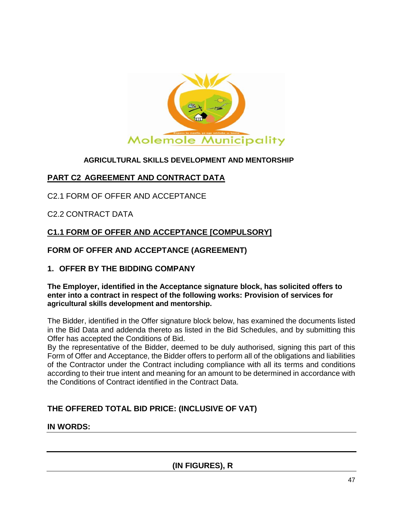

## **AGRICULTURAL SKILLS DEVELOPMENT AND MENTORSHIP**

## **PART C2 AGREEMENT AND CONTRACT DATA**

C2.1 FORM OF OFFER AND ACCEPTANCE

C2.2 CONTRACT DATA

## **C1.1 FORM OF OFFER AND ACCEPTANCE [COMPULSORY]**

**FORM OF OFFER AND ACCEPTANCE (AGREEMENT)**

## **1. OFFER BY THE BIDDING COMPANY**

#### **The Employer, identified in the Acceptance signature block, has solicited offers to enter into a contract in respect of the following works: Provision of services for agricultural skills development and mentorship.**

The Bidder, identified in the Offer signature block below, has examined the documents listed in the Bid Data and addenda thereto as listed in the Bid Schedules, and by submitting this Offer has accepted the Conditions of Bid.

By the representative of the Bidder, deemed to be duly authorised, signing this part of this Form of Offer and Acceptance, the Bidder offers to perform all of the obligations and liabilities of the Contractor under the Contract including compliance with all its terms and conditions according to their true intent and meaning for an amount to be determined in accordance with the Conditions of Contract identified in the Contract Data.

## **THE OFFERED TOTAL BID PRICE: (INCLUSIVE OF VAT)**

## **IN WORDS:**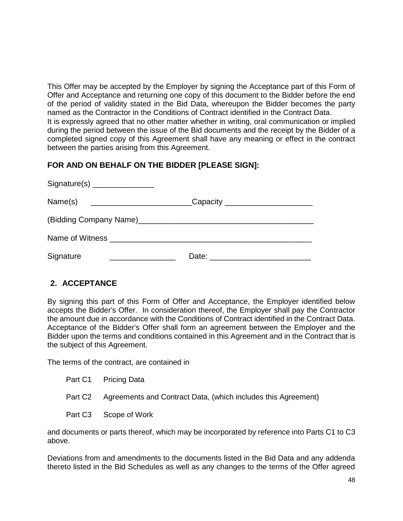This Offer may be accepted by the Employer by signing the Acceptance part of this Form of Offer and Acceptance and returning one copy of this document to the Bidder before the end of the period of validity stated in the Bid Data, whereupon the Bidder becomes the party named as the Contractor in the Conditions of Contract identified in the Contract Data. It is expressly agreed that no other matter whether in writing, oral communication or implied during the period between the issue of the Bid documents and the receipt by the Bidder of a completed signed copy of this Agreement shall have any meaning or effect in the contract between the parties arising from this Agreement.

## **FOR AND ON BEHALF ON THE BIDDER [PLEASE SIGN]:**

| Name(s)   | __Capacity _______________________ |  |
|-----------|------------------------------------|--|
|           |                                    |  |
|           |                                    |  |
| Signature | Date:                              |  |

## **2. ACCEPTANCE**

By signing this part of this Form of Offer and Acceptance, the Employer identified below accepts the Bidder's Offer. In consideration thereof, the Employer shall pay the Contractor the amount due in accordance with the Conditions of Contract identified in the Contract Data. Acceptance of the Bidder's Offer shall form an agreement between the Employer and the Bidder upon the terms and conditions contained in this Agreement and in the Contract that is the subject of this Agreement.

The terms of the contract, are contained in

- Part C1 Pricing Data
- Part C2 Agreements and Contract Data, (which includes this Agreement)
- Part C3 Scope of Work

and documents or parts thereof, which may be incorporated by reference into Parts C1 to C3 above.

Deviations from and amendments to the documents listed in the Bid Data and any addenda thereto listed in the Bid Schedules as well as any changes to the terms of the Offer agreed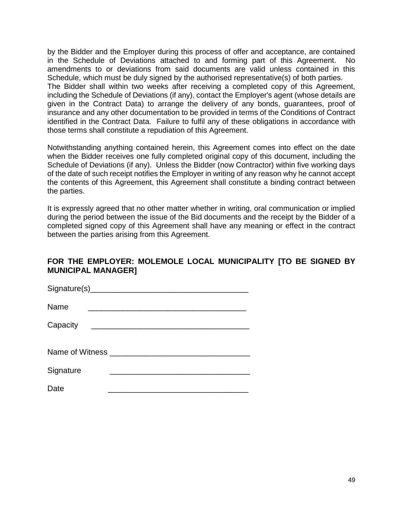by the Bidder and the Employer during this process of offer and acceptance, are contained in the Schedule of Deviations attached to and forming part of this Agreement. No amendments to or deviations from said documents are valid unless contained in this Schedule, which must be duly signed by the authorised representative(s) of both parties. The Bidder shall within two weeks after receiving a completed copy of this Agreement, including the Schedule of Deviations (if any), contact the Employer's agent (whose details are given in the Contract Data) to arrange the delivery of any bonds, guarantees, proof of insurance and any other documentation to be provided in terms of the Conditions of Contract identified in the Contract Data. Failure to fulfil any of these obligations in accordance with those terms shall constitute a repudiation of this Agreement.

Notwithstanding anything contained herein, this Agreement comes into effect on the date when the Bidder receives one fully completed original copy of this document, including the Schedule of Deviations (if any). Unless the Bidder (now Contractor) within five working days of the date of such receipt notifies the Employer in writing of any reason why he cannot accept the contents of this Agreement, this Agreement shall constitute a binding contract between the parties.

It is expressly agreed that no other matter whether in writing, oral communication or implied during the period between the issue of the Bid documents and the receipt by the Bidder of a completed signed copy of this Agreement shall have any meaning or effect in the contract between the parties arising from this Agreement.

## **FOR THE EMPLOYER: MOLEMOLE LOCAL MUNICIPALITY [TO BE SIGNED BY MUNICIPAL MANAGER]**

| Name      |                                         |
|-----------|-----------------------------------------|
| Capacity  |                                         |
|           |                                         |
|           | Name of Witness _______________________ |
| Signature |                                         |
| Date      |                                         |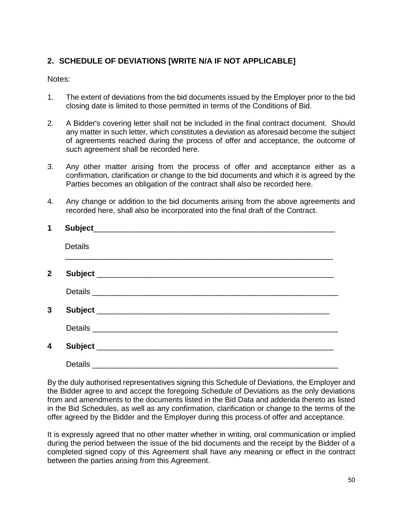## **2. SCHEDULE OF DEVIATIONS [WRITE N/A IF NOT APPLICABLE]**

## Notes:

- 1. The extent of deviations from the bid documents issued by the Employer prior to the bid closing date is limited to those permitted in terms of the Conditions of Bid.
- 2. A Bidder's covering letter shall not be included in the final contract document. Should any matter in such letter, which constitutes a deviation as aforesaid become the subject of agreements reached during the process of offer and acceptance, the outcome of such agreement shall be recorded here.
- 3. Any other matter arising from the process of offer and acceptance either as a confirmation, clarification or change to the bid documents and which it is agreed by the Parties becomes an obligation of the contract shall also be recorded here.
- 4. Any change or addition to the bid documents arising from the above agreements and recorded here, shall also be incorporated into the final draft of the Contract.

| 1            |                                       |
|--------------|---------------------------------------|
|              | <b>Details</b>                        |
| $\mathbf{2}$ |                                       |
|              |                                       |
| 3            |                                       |
|              | Details <b>Example 2018</b>           |
| 4            | Subject _____________________________ |
|              | Details __________                    |

By the duly authorised representatives signing this Schedule of Deviations, the Employer and the Bidder agree to and accept the foregoing Schedule of Deviations as the only deviations from and amendments to the documents listed in the Bid Data and addenda thereto as listed in the Bid Schedules, as well as any confirmation, clarification or change to the terms of the offer agreed by the Bidder and the Employer during this process of offer and acceptance.

It is expressly agreed that no other matter whether in writing, oral communication or implied during the period between the issue of the bid documents and the receipt by the Bidder of a completed signed copy of this Agreement shall have any meaning or effect in the contract between the parties arising from this Agreement.